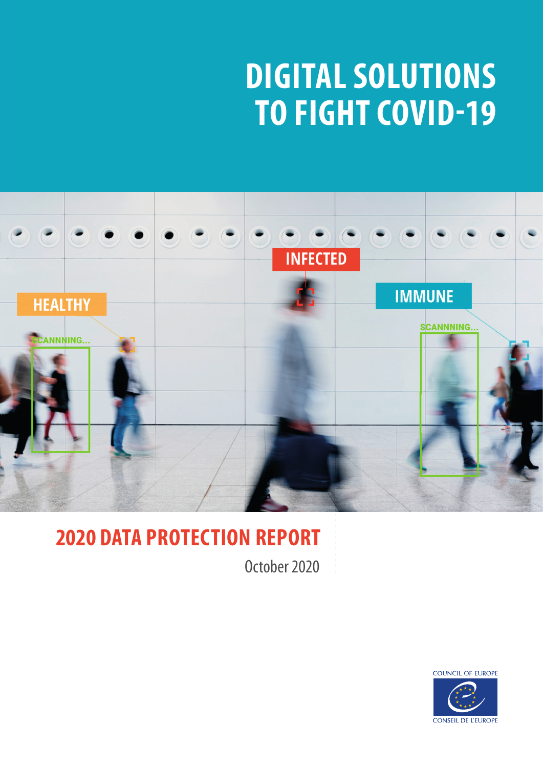# **DIGITAL SOLUTIONS TO FIGHT COVID-19**



# **2020 DATA PROTECTION REPORT**

October 2020

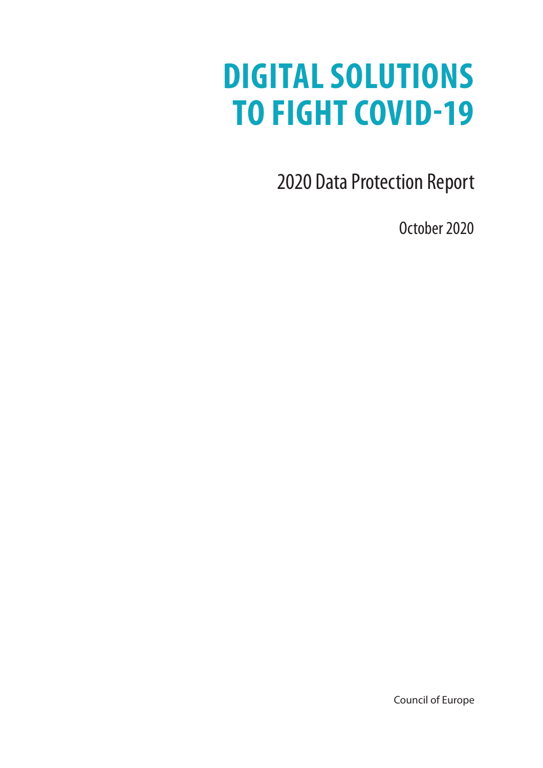# **DIGITAL SOLUTIONS TO FIGHT COVID-19**

2020 Data Protection Report

October 2020

Council of Europe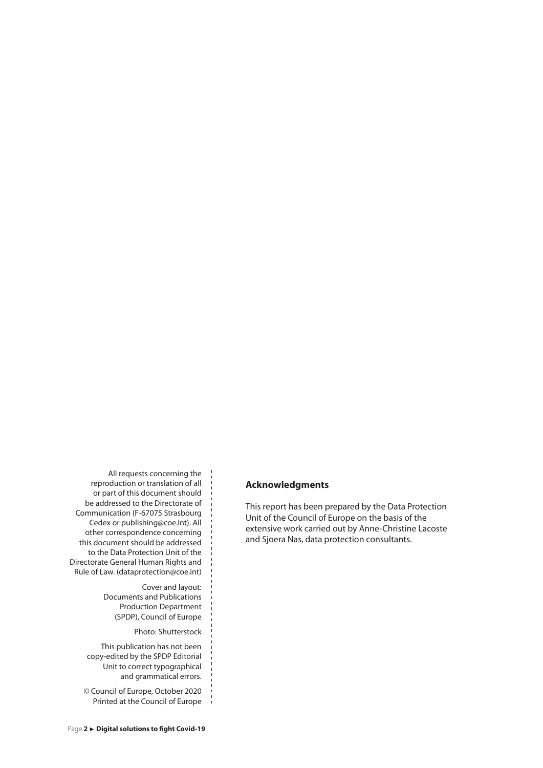All requests concerning the reproduction or translation of all or part of this document should be addressed to the Directorate of Communication (F-67075 Strasbourg Cedex or publishing@coe.int). All other correspondence concerning this document should be addressed to the Data Protection Unit of the Directorate General Human Rights and Rule of Law. (dataprotection@coe.int)

> Cover and layout: Documents and Publications Production Department (SPDP), Council of Europe

> > Photo: Shutterstock

This publication has not been copy-edited by the SPDP Editorial Unit to correct typographical and grammatical errors.

© Council of Europe, October 2020 Printed at the Council of Europe

#### **Acknowledgments**

This report has been prepared by the Data Protection Unit of the Council of Europe on the basis of the extensive work carried out by Anne-Christine Lacoste and Sjoera Nas, data protection consultants.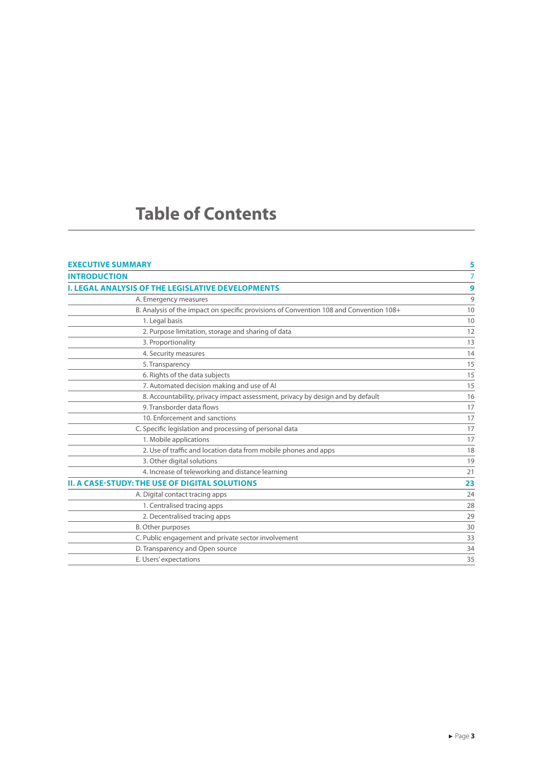### **Table of Contents**

| <b>EXECUTIVE SUMMARY</b>                                                               | 5  |
|----------------------------------------------------------------------------------------|----|
| <b>INTRODUCTION</b>                                                                    | 7  |
| <b>I. LEGAL ANALYSIS OF THE LEGISLATIVE DEVELOPMENTS</b>                               | 9  |
| A. Emergency measures                                                                  | 9  |
| B. Analysis of the impact on specific provisions of Convention 108 and Convention 108+ | 10 |
| 1. Legal basis                                                                         | 10 |
| 2. Purpose limitation, storage and sharing of data                                     | 12 |
| 3. Proportionality                                                                     | 13 |
| 4. Security measures                                                                   | 14 |
| 5. Transparency                                                                        | 15 |
| 6. Rights of the data subjects                                                         | 15 |
| 7. Automated decision making and use of AI                                             | 15 |
| 8. Accountability, privacy impact assessment, privacy by design and by default         | 16 |
| 9. Transborder data flows                                                              | 17 |
| 10. Enforcement and sanctions                                                          | 17 |
| C. Specific legislation and processing of personal data                                | 17 |
| 1. Mobile applications                                                                 | 17 |
| 2. Use of traffic and location data from mobile phones and apps                        | 18 |
| 3. Other digital solutions                                                             | 19 |
| 4. Increase of teleworking and distance learning                                       | 21 |
| <b>II. A CASE-STUDY: THE USE OF DIGITAL SOLUTIONS</b>                                  | 23 |
| A. Digital contact tracing apps                                                        | 24 |
| 1. Centralised tracing apps                                                            | 28 |
| 2. Decentralised tracing apps                                                          | 29 |
| <b>B.</b> Other purposes                                                               | 30 |
| C. Public engagement and private sector involvement                                    | 33 |
| D. Transparency and Open source                                                        | 34 |
| E. Users' expectations                                                                 | 35 |
|                                                                                        |    |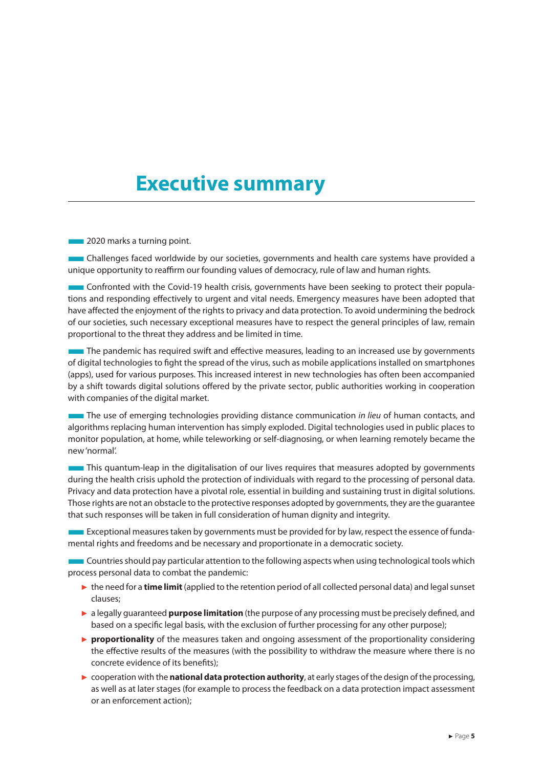### <span id="page-5-0"></span>**Executive summary**

**EXCEDENT** 2020 marks a turning point.

■Challenges faced worldwide by our societies, governments and health care systems have provided a unique opportunity to reaffirm our founding values of democracy, rule of law and human rights.

■Confronted with the Covid-19 health crisis, governments have been seeking to protect their populations and responding effectively to urgent and vital needs. Emergency measures have been adopted that have affected the enjoyment of the rights to privacy and data protection. To avoid undermining the bedrock of our societies, such necessary exceptional measures have to respect the general principles of law, remain proportional to the threat they address and be limited in time.

**The pandemic has required swift and effective measures, leading to an increased use by governments** of digital technologies to fight the spread of the virus, such as mobile applications installed on smartphones (apps), used for various purposes. This increased interest in new technologies has often been accompanied by a shift towards digital solutions offered by the private sector, public authorities working in cooperation with companies of the digital market.

**The use of emerging technologies providing distance communication** *in lieu* **of human contacts, and** algorithms replacing human intervention has simply exploded. Digital technologies used in public places to monitor population, at home, while teleworking or self-diagnosing, or when learning remotely became the new 'normal'.

**This quantum-leap in the digitalisation of our lives requires that measures adopted by governments** during the health crisis uphold the protection of individuals with regard to the processing of personal data. Privacy and data protection have a pivotal role, essential in building and sustaining trust in digital solutions. Those rights are not an obstacle to the protective responses adopted by governments, they are the guarantee that such responses will be taken in full consideration of human dignity and integrity.

■ Exceptional measures taken by governments must be provided for by law, respect the essence of fundamental rights and freedoms and be necessary and proportionate in a democratic society.

■ Countries should pay particular attention to the following aspects when using technological tools which process personal data to combat the pandemic:

- ► the need for a **time limit** (applied to the retention period of all collected personal data) and legal sunset clauses;
- ► a legally guaranteed **purpose limitation** (the purpose of any processing must be precisely defined, and based on a specific legal basis, with the exclusion of further processing for any other purpose);
- ► **proportionality** of the measures taken and ongoing assessment of the proportionality considering the effective results of the measures (with the possibility to withdraw the measure where there is no concrete evidence of its benefits);
- ► cooperation with the **national data protection authority**, at early stages of the design of the processing, as well as at later stages (for example to process the feedback on a data protection impact assessment or an enforcement action);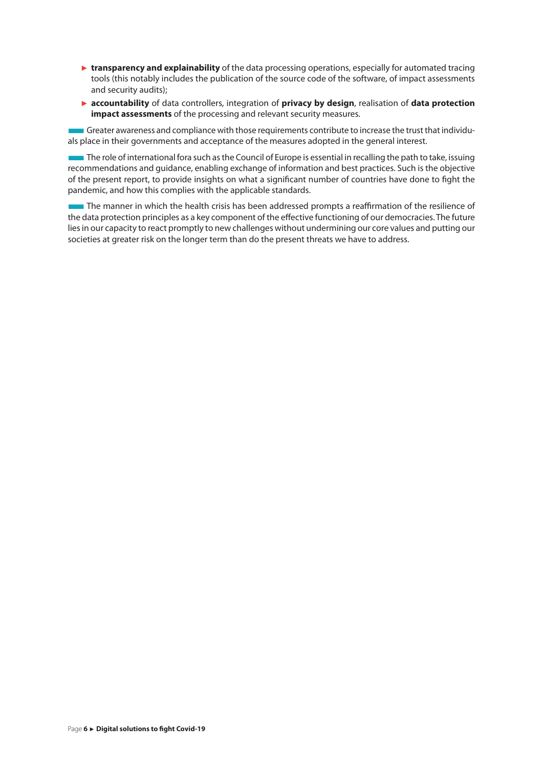- ► **transparency and explainability** of the data processing operations, especially for automated tracing tools (this notably includes the publication of the source code of the software, of impact assessments and security audits);
- ► **accountability** of data controllers, integration of **privacy by design**, realisation of **data protection impact assessments** of the processing and relevant security measures.

■Greater awareness and compliance with those requirements contribute to increase the trust that individuals place in their governments and acceptance of the measures adopted in the general interest.

The role of international fora such as the Council of Europe is essential in recalling the path to take, issuing recommendations and guidance, enabling exchange of information and best practices. Such is the objective of the present report, to provide insights on what a significant number of countries have done to fight the pandemic, and how this complies with the applicable standards.

**The manner in which the health crisis has been addressed prompts a reaffirmation of the resilience of** the data protection principles as a key component of the effective functioning of our democracies. The future lies in our capacity to react promptly to new challenges without undermining our core values and putting our societies at greater risk on the longer term than do the present threats we have to address.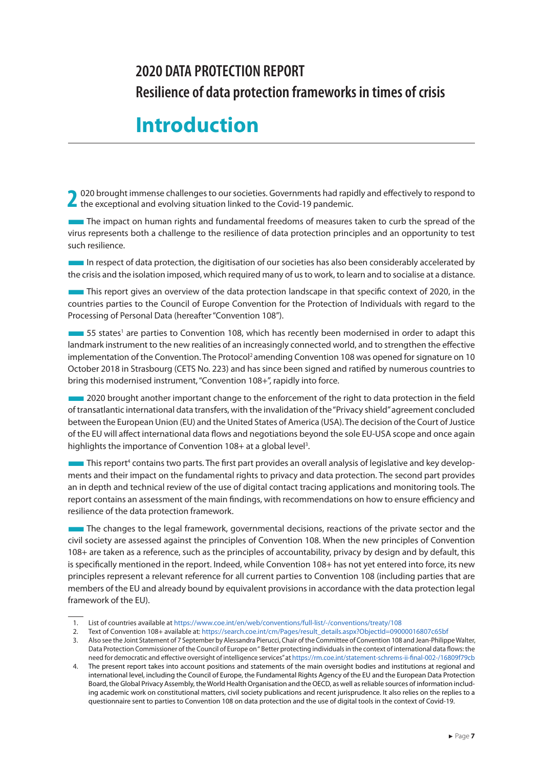### <span id="page-7-0"></span>**2020 DATA PROTECTION REPORT Resilience of data protection frameworks in times of crisis**

### **Introduction**

2 020 brought immense challenges to our societies. Governments had rapidly and effectively to respond to the exceptional and evolving situation linked to the Covid-19 pandemic.

**The impact on human rights and fundamental freedoms of measures taken to curb the spread of the** virus represents both a challenge to the resilience of data protection principles and an opportunity to test such resilience.

In respect of data protection, the digitisation of our societies has also been considerably accelerated by the crisis and the isolation imposed, which required many of us to work, to learn and to socialise at a distance.

**This report gives an overview of the data protection landscape in that specific context of 2020, in the** countries parties to the Council of Europe Convention for the Protection of Individuals with regard to the Processing of Personal Data (hereafter "Convention 108").

**EXECUTES IN A FIGURE 2018** STRESS IN A FIGURE 2018 (INCLUSIVE 108).<br>A FIGURE 2019 ST States<sup>1</sup> are parties to Convention 108, which has recently been modernised in order to adapt this landmark instrument to the new realities of an increasingly connected world, and to strengthen the effective implementation of the Convention. The Protocol<sup>2</sup> amending Convention 108 was opened for signature on 10 October 2018 in Strasbourg (CETS No. 223) and has since been signed and ratified by numerous countries to bring this modernised instrument, "Convention 108+", rapidly into force.

■2020 brought another important change to the enforcement of the right to data protection in the field of transatlantic international data transfers, with the invalidation of the "Privacy shield" agreement concluded between the European Union (EU) and the United States of America (USA). The decision of the Court of Justice of the EU will affect international data flows and negotiations beyond the sole EU-USA scope and once again highlights the importance of Convention 108+ at a global level<sup>3</sup>.

**This reportance of contains two parts.** The first part provides an overall analysis of legislative and key develop-<br>This report<sup>4</sup> contains two parts. The first part provides an overall analysis of legislative and key dev ments and their impact on the fundamental rights to privacy and data protection. The second part provides an in depth and technical review of the use of digital contact tracing applications and monitoring tools. The report contains an assessment of the main findings, with recommendations on how to ensure efficiency and resilience of the data protection framework.

The changes to the legal framework, governmental decisions, reactions of the private sector and the civil society are assessed against the principles of Convention 108. When the new principles of Convention 108+ are taken as a reference, such as the principles of accountability, privacy by design and by default, this is specifically mentioned in the report. Indeed, while Convention 108+ has not yet entered into force, its new principles represent a relevant reference for all current parties to Convention 108 (including parties that are members of the EU and already bound by equivalent provisions in accordance with the data protection legal framework of the EU).

<sup>1.</sup> List of countries available at <https://www.coe.int/en/web/conventions/full-list/-/conventions/treaty/108>

<sup>2.</sup> Text of Convention 108+ available at: [https://search.coe.int/cm/Pages/result\\_details.aspx?ObjectId=09000016807c65bf](https://search.coe.int/cm/Pages/result_details.aspx?ObjectId=09000016807c65bf)

<sup>3.</sup> Also see the Joint Statement of 7 September by Alessandra Pierucci, Chair of the Committee of Convention 108 and Jean-Philippe Walter, Data Protection Commissioner of the Council of Europe on " Better protecting individuals in the context of international data flows: the need for democratic and effective oversight of intelligence services" at<https://rm.coe.int/statement-schrems-ii-final-002-/16809f79cb>

<sup>4.</sup> The present report takes into account positions and statements of the main oversight bodies and institutions at regional and international level, including the Council of Europe, the Fundamental Rights Agency of the EU and the European Data Protection Board, the Global Privacy Assembly, the World Health Organisation and the OECD, as well as reliable sources of information including academic work on constitutional matters, civil society publications and recent jurisprudence. It also relies on the replies to a questionnaire sent to parties to Convention 108 on data protection and the use of digital tools in the context of Covid-19.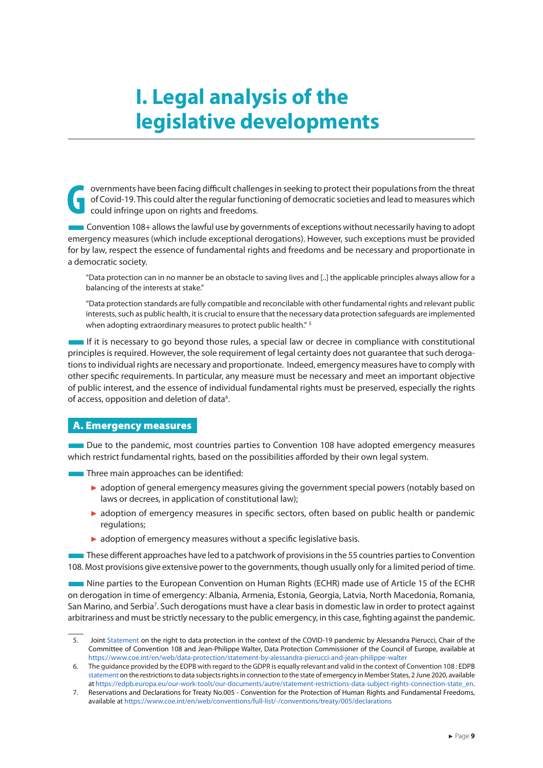## <span id="page-9-0"></span>**I. Legal analysis of the legislative developments**

**G** overnments have been facing difficult challenges in seeking to protect their populations from the threat of Covid-19. This could alter the regular functioning of democratic societies and lead to measures which could infringe upon on rights and freedoms.

■Convention 108+ allows the lawful use by governments of exceptions without necessarily having to adopt emergency measures (which include exceptional derogations). However, such exceptions must be provided for by law, respect the essence of fundamental rights and freedoms and be necessary and proportionate in a democratic society.

"Data protection can in no manner be an obstacle to saving lives and [..] the applicable principles always allow for a balancing of the interests at stake."

"Data protection standards are fully compatible and reconcilable with other fundamental rights and relevant public interests, such as public health, it is crucial to ensure that the necessary data protection safeguards are implemented when adopting extraordinary measures to protect public health." <sup>5</sup>

■If it is necessary to go beyond those rules, a special law or decree in compliance with constitutional principles is required. However, the sole requirement of legal certainty does not guarantee that such derogations to individual rights are necessary and proportionate. Indeed, emergency measures have to comply with other specific requirements. In particular, any measure must be necessary and meet an important objective of public interest, and the essence of individual fundamental rights must be preserved, especially the rights of access, opposition and deletion of data<sup>6</sup>.

#### A. Emergency measures

■Due to the pandemic, most countries parties to Convention 108 have adopted emergency measures which restrict fundamental rights, based on the possibilities afforded by their own legal system.

**Three main approaches can be identified:** 

- ► adoption of general emergency measures giving the government special powers (notably based on laws or decrees, in application of constitutional law);
- ► adoption of emergency measures in specific sectors, often based on public health or pandemic regulations;
- ► adoption of emergency measures without a specific legislative basis.

**These different approaches have led to a patchwork of provisions in the 55 countries parties to Convention** 108. Most provisions give extensive power to the governments, though usually only for a limited period of time.

■Nine parties to the European Convention on Human Rights (ECHR) made use of Article 15 of the ECHR on derogation in time of emergency: Albania, Armenia, Estonia, Georgia, Latvia, North Macedonia, Romania, San Marino, and Serbia<sup>7</sup>. Such derogations must have a clear basis in domestic law in order to protect against arbitrariness and must be strictly necessary to the public emergency, in this case, fighting against the pandemic.

<sup>5.</sup> Joint [Statement](https://www.coe.int/en/web/data-protection/statement-by-alessandra-pierucci-and-jean-philippe-walter) on the right to data protection in the context of the COVID-19 pandemic by Alessandra Pierucci, Chair of the Committee of Convention 108 and Jean-Philippe Walter, Data Protection Commissioner of the Council of Europe, available at <https://www.coe.int/en/web/data-protection/statement-by-alessandra-pierucci-and-jean-philippe-walter>

<sup>6.</sup> The guidance provided by the EDPB with regard to the GDPR is equally relevant and valid in the context of Convention 108 : EDPB [statement](https://edpb.europa.eu/our-work-tools/our-documents/autre/statement-restrictions-data-subject-rights-connection-state_en) on the restrictions to data subjects rights in connection to the state of emergency in Member States, 2 June 2020, available at [https://edpb.europa.eu/our-work-tools/our-documents/autre/statement-restrictions-data-subject-rights-connection-state\\_en](https://edpb.europa.eu/our-work-tools/our-documents/autre/statement-restrictions-data-subject-rights-connection-state_en).

<sup>7.</sup> Reservations and Declarations for Treaty No.005 - Convention for the Protection of Human Rights and Fundamental Freedoms, available at<https://www.coe.int/en/web/conventions/full-list/-/conventions/treaty/005/declarations>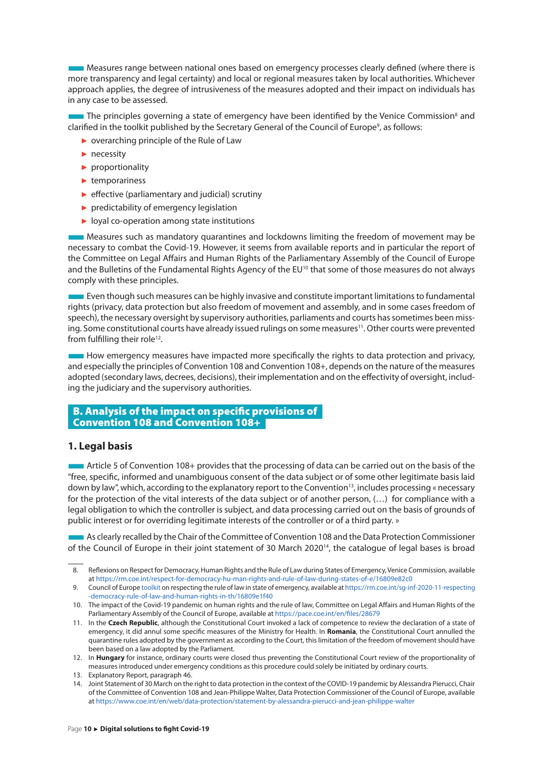<span id="page-10-0"></span>■Measures range between national ones based on emergency processes clearly defined (where there is more transparency and legal certainty) and local or regional measures taken by local authorities. Whichever approach applies, the degree of intrusiveness of the measures adopted and their impact on individuals has in any case to be assessed.

**The any case to be assessed.**<br>In the principles governing a state of emergency have been identified by the Venice Commission<sup>8</sup> and clarified in the toolkit published by the Secretary General of the Council of Europe<sup>9</sup>, as follows:

- ► overarching principle of the Rule of Law
- ► necessity
- ► proportionality
- ► temporariness
- $\blacktriangleright$  effective (parliamentary and judicial) scrutiny
- ► predictability of emergency legislation
- ► loyal co-operation among state institutions

■Measures such as mandatory quarantines and lockdowns limiting the freedom of movement may be necessary to combat the Covid-19. However, it seems from available reports and in particular the report of the Committee on Legal Affairs and Human Rights of the Parliamentary Assembly of the Council of Europe and the Bulletins of the Fundamental Rights Agency of the EU<sup>10</sup> that some of those measures do not always comply with these principles.

■Even though such measures can be highly invasive and constitute important limitations to fundamental rights (privacy, data protection but also freedom of movement and assembly, and in some cases freedom of speech), the necessary oversight by supervisory authorities, parliaments and courts has sometimes been missing. Some constitutional courts have already issued rulings on some measures<sup>11</sup>. Other courts were prevented from fulfilling their role<sup>12</sup>.

■How emergency measures have impacted more specifically the rights to data protection and privacy, and especially the principles of Convention 108 and Convention 108+, depends on the nature of the measures adopted (secondary laws, decrees, decisions), their implementation and on the effectivity of oversight, including the judiciary and the supervisory authorities.

#### B. Analysis of the impact on specific provisions of Convention 108 and Convention 108+

#### **1. Legal basis**

 $\blacksquare$  Article 5 of Convention 108+ provides that the processing of data can be carried out on the basis of the "free, specific, informed and unambiguous consent of the data subject or of some other legitimate basis laid down by law", which, according to the explanatory report to the Convention<sup>13</sup>, includes processing « necessary for the protection of the vital interests of the data subject or of another person, (…) for compliance with a legal obligation to which the controller is subject, and data processing carried out on the basis of grounds of public interest or for overriding legitimate interests of the controller or of a third party. »

■As clearly recalled by the Chair of the Committee of Convention 108 and the Data Protection Commissioner of the Council of Europe in their joint statement of 30 March 2020<sup>14</sup>, the catalogue of legal bases is broad

<sup>8.</sup> Reflexions on Respect for Democracy, Human Rights and the Rule of Law during States of Emergency, Venice Commission, available at<https://rm.coe.int/respect-for-democracy-hu-man-rights-and-rule-of-law-during-states-of-e/16809e82c0>

<sup>9.</sup> Council of Europe [toolkit](https://rm.coe.int/sg-inf-2020-11-respecting-democracy-rule-of-law-and-human-rights-in-th/16809e1f40) on respecting the rule of law in state of emergency, available at [https://rm.coe.int/sg-inf-2020-11-respecting](https://rm.coe.int/sg-inf-2020-11-respecting-democracy-rule-of-law-and-human-rights-in-th/16809e1f40) [-democracy-rule-of-law-and-human-rights-in-th/16809e1f40](https://rm.coe.int/sg-inf-2020-11-respecting-democracy-rule-of-law-and-human-rights-in-th/16809e1f40)

<sup>10.</sup> The impact of the Covid-19 pandemic on human rights and the rule of law, Committee on Legal Affairs and Human Rights of the Parliamentary Assembly of the Council of Europe, available at <https://pace.coe.int/en/files/28679>

<sup>11.</sup> In the **Czech Republic**, although the Constitutional Court invoked a lack of competence to review the declaration of a state of emergency, it did annul some specific measures of the Ministry for Health. In **Romania**, the Constitutional Court annulled the quarantine rules adopted by the government as according to the Court, this limitation of the freedom of movement should have been based on a law adopted by the Parliament.

<sup>12.</sup> In **Hungary** for instance, ordinary courts were closed thus preventing the Constitutional Court review of the proportionality of measures introduced under emergency conditions as this procedure could solely be initiated by ordinary courts.

<sup>13.</sup> Explanatory Report, paragraph 46.

<sup>14.</sup> Joint Statement of 30 March on the right to data protection in the context of the COVID-19 pandemic by Alessandra Pierucci, Chair of the Committee of Convention 108 and Jean-Philippe Walter, Data Protection Commissioner of the Council of Europe, available at<https://www.coe.int/en/web/data-protection/statement-by-alessandra-pierucci-and-jean-philippe-walter>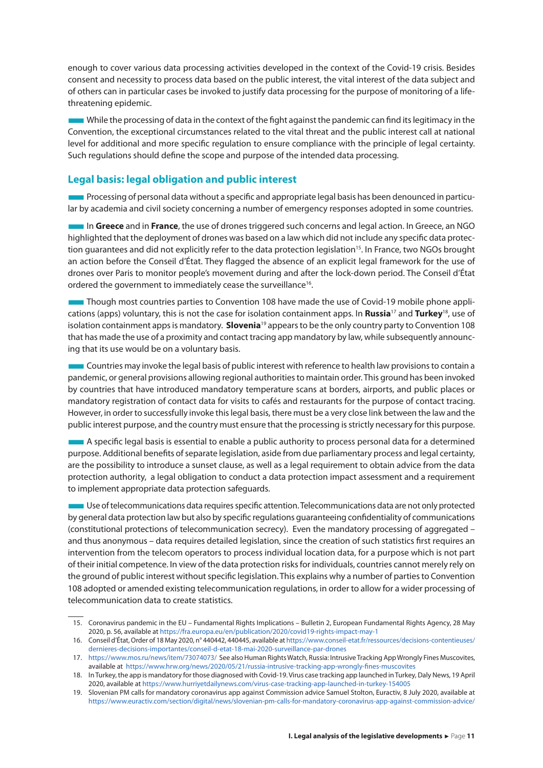enough to cover various data processing activities developed in the context of the Covid-19 crisis. Besides consent and necessity to process data based on the public interest, the vital interest of the data subject and of others can in particular cases be invoked to justify data processing for the purpose of monitoring of a lifethreatening epidemic.

■While the processing of data in the context of the fight against the pandemic can find its legitimacy in the Convention, the exceptional circumstances related to the vital threat and the public interest call at national level for additional and more specific regulation to ensure compliance with the principle of legal certainty. Such regulations should define the scope and purpose of the intended data processing.

### **Legal basis: legal obligation and public interest**

■Processing of personal data without a specific and appropriate legal basis has been denounced in particular by academia and civil society concerning a number of emergency responses adopted in some countries.

■In **Greece** and in **France**, the use of drones triggered such concerns and legal action. In Greece, an NGO highlighted that the deployment of drones was based on a law which did not include any specific data protection guarantees and did not explicitly refer to the data protection legislation<sup>15</sup>. In France, two NGOs brought an action before the Conseil d'État. They flagged the absence of an explicit legal framework for the use of drones over Paris to monitor people's movement during and after the lock-down period. The Conseil d'État ordered the government to immediately cease the surveillance<sup>16</sup>.

**Though most countries parties to Convention 108 have made the use of Covid-19 mobile phone appli**cations (apps) voluntary, this is not the case for isolation containment apps. In **Russia**17 and **Turkey**18, use of isolation containment apps is mandatory. **Slovenia**19 appears to be the only country party to Convention 108 that has made the use of a proximity and contact tracing app mandatory by law, while subsequently announcing that its use would be on a voluntary basis.

■Countries may invoke the legal basis of public interest with reference to health law provisions to contain a pandemic, or general provisions allowing regional authorities to maintain order. This ground has been invoked by countries that have introduced mandatory temperature scans at borders, airports, and public places or mandatory registration of contact data for visits to cafés and restaurants for the purpose of contact tracing. However, in order to successfully invoke this legal basis, there must be a very close link between the law and the public interest purpose, and the country must ensure that the processing is strictly necessary for this purpose.

■A specific legal basis is essential to enable a public authority to process personal data for a determined purpose. Additional benefits of separate legislation, aside from due parliamentary process and legal certainty, are the possibility to introduce a sunset clause, as well as a legal requirement to obtain advice from the data protection authority, a legal obligation to conduct a data protection impact assessment and a requirement to implement appropriate data protection safeguards.

■Use of telecommunications data requires specific attention. Telecommunications data are not only protected by general data protection law but also by specific regulations guaranteeing confidentiality of communications (constitutional protections of telecommunication secrecy). Even the mandatory processing of aggregated – and thus anonymous – data requires detailed legislation, since the creation of such statistics first requires an intervention from the telecom operators to process individual location data, for a purpose which is not part of their initial competence. In view of the data protection risks for individuals, countries cannot merely rely on the ground of public interest without specific legislation. This explains why a number of parties to Convention 108 adopted or amended existing telecommunication regulations, in order to allow for a wider processing of telecommunication data to create statistics.

<sup>15.</sup> Coronavirus pandemic in the EU – Fundamental Rights Implications – Bulletin 2, European Fundamental Rights Agency, 28 May 2020, p. 56, available at <https://fra.europa.eu/en/publication/2020/covid19-rights-impact-may-1>

<sup>16.</sup> Conseil d'État, Order of 18 May 2020, n° 440442, 440445, available at [https://www.conseil-etat.fr/ressources/decisions-contentieuses/](https://www.conseil-etat.fr/ressources/decisions-contentieuses/dernieres-decisions-importantes/conseil-d-etat-18-mai-2020-surveillance-par-drones) [dernieres-decisions-importantes/conseil-d-etat-18-mai-2020-surveillance-par-drones](https://www.conseil-etat.fr/ressources/decisions-contentieuses/dernieres-decisions-importantes/conseil-d-etat-18-mai-2020-surveillance-par-drones)

<sup>17.</sup> <https://www.mos.ru/news/item/73074073/>See also Human Rights Watch, Russia: Intrusive Tracking App Wrongly Fines Muscovites, available at <https://www.hrw.org/news/2020/05/21/russia-intrusive-tracking-app-wrongly-fines-muscovites>

<sup>18.</sup> In Turkey, the app is mandatory for those diagnosed with Covid-19. Virus case tracking app launched in Turkey, Daly News, 19 April 2020, available at<https://www.hurriyetdailynews.com/virus-case-tracking-app-launched-in-turkey-154005>

<sup>19.</sup> Slovenian PM calls for mandatory coronavirus app against Commission advice Samuel Stolton, Euractiv, 8 July 2020, available at <https://www.euractiv.com/section/digital/news/slovenian-pm-calls-for-mandatory-coronavirus-app-against-commission-advice/>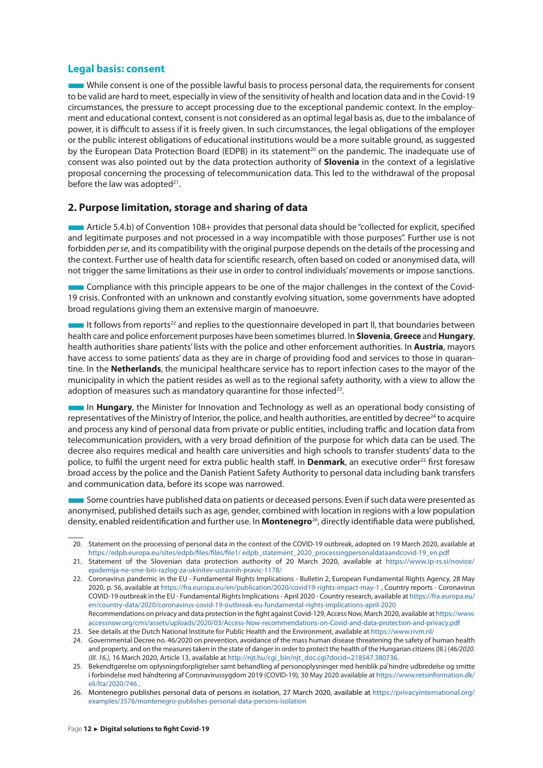#### <span id="page-12-0"></span>**Legal basis: consent**

While consent is one of the possible lawful basis to process personal data, the requirements for consent to be valid are hard to meet, especially in view of the sensitivity of health and location data and in the Covid-19 circumstances, the pressure to accept processing due to the exceptional pandemic context. In the employment and educational context, consent is not considered as an optimal legal basis as, due to the imbalance of power, it is difficult to assess if it is freely given. In such circumstances, the legal obligations of the employer or the public interest obligations of educational institutions would be a more suitable ground, as suggested by the European Data Protection Board (EDPB) in its statement<sup>20</sup> on the pandemic. The inadequate use of consent was also pointed out by the data protection authority of **Slovenia** in the context of a legislative proposal concerning the processing of telecommunication data. This led to the withdrawal of the proposal before the law was adopted<sup>21</sup>.

#### **2. Purpose limitation, storage and sharing of data**

■Article 5.4.b) of Convention 108+ provides that personal data should be "collected for explicit, specified and legitimate purposes and not processed in a way incompatible with those purposes". Further use is not forbidden *per se*, and its compatibility with the original purpose depends on the details of the processing and the context. Further use of health data for scientific research, often based on coded or anonymised data, will not trigger the same limitations as their use in order to control individuals' movements or impose sanctions.

■Compliance with this principle appears to be one of the major challenges in the context of the Covid-19 crisis. Confronted with an unknown and constantly evolving situation, some governments have adopted broad regulations giving them an extensive margin of manoeuvre.

It follows from reports<sup>22</sup> and replies to the questionnaire developed in part II, that boundaries between health care and police enforcement purposes have been sometimes blurred. In **Slovenia**, **Greece** and **Hungary**, health authorities share patients' lists with the police and other enforcement authorities. In **Austria**, mayors have access to some patients' data as they are in charge of providing food and services to those in quarantine. In the **Netherlands**, the municipal healthcare service has to report infection cases to the mayor of the municipality in which the patient resides as well as to the regional safety authority, with a view to allow the adoption of measures such as mandatory quarantine for those infected<sup>23</sup>.

**IDUM** In Hungary, the Minister for Innovation and Technology as well as an operational body consisting of representatives of the Ministry of Interior, the police, and health authorities, are entitled by decree<sup>24</sup> to acquire and process any kind of personal data from private or public entities, including traffic and location data from telecommunication providers, with a very broad definition of the purpose for which data can be used. The decree also requires medical and health care universities and high schools to transfer students' data to the police, to fulfil the urgent need for extra public health staff. In **Denmark**, an executive order25 first foresaw broad access by the police and the Danish Patient Safety Authority to personal data including bank transfers and communication data, before its scope was narrowed.

■ Some countries have published data on patients or deceased persons. Even if such data were presented as anonymised, published details such as age, gender, combined with location in regions with a low population density, enabled reidentification and further use. In **Montenegro**26, directly identifiable data were published,

<sup>20.</sup> Statement on the processing of personal data in the context of the COVID-19 outbreak, adopted on 19 March 2020, available at [https://edpb.europa.eu/sites/edpb/files/files/file1/ edpb\\_statement\\_2020\\_processingpersonaldataandcovid-19\\_en.pdf](https://edpb.europa.eu/sites/edpb/files/files/file1/ edpb_statement_2020_processingpersonaldataandcovid-19_en.pdf)

<sup>21.</sup> Statement of the Slovenian data protection authority of 20 March 2020, available at [https://www.ip-rs.si/novice/](https://www.ip-rs.si/novice/epidemija-ne-sme-biti-razlog-za-ukinitev-ustavnih-pravic-1178/) [epidemija-ne-sme-biti-razlog-za-ukinitev-ustavnih-pravic-1178/](https://www.ip-rs.si/novice/epidemija-ne-sme-biti-razlog-za-ukinitev-ustavnih-pravic-1178/)

<sup>22.</sup> Coronavirus pandemic in the EU - Fundamental Rights Implications - Bulletin 2, European Fundamental Rights Agency, 28 May 2020, p. 56, available at <https://fra.europa.eu/en/publication/2020/covid19-rights-impact-may-1> , Country reports - Coronavirus COVID-19 outbreak in the EU - Fundamental Rights Implications - April 2020 - Country research, available at [https://fra.europa.eu/](https://fra.europa.eu/en/country-data/2020/coronavirus-covid-19-outbreak-eu-fundamental-rights-implications-april-2020) [en/country-data/2020/coronavirus-covid-19-outbreak-eu-fundamental-rights-implications-april-2020](https://fra.europa.eu/en/country-data/2020/coronavirus-covid-19-outbreak-eu-fundamental-rights-implications-april-2020) Recommendations on privacy and data protection in the fight against Covid-129, Access Now, March 2020, available at [https://www.](https://www.accessnow.org/cms/assets/uploads/2020/03/Access-Now-recommendations-on-Covid-and-data-protection-and-privacy.pdf) [accessnow.org/cms/assets/uploads/2020/03/Access-Now-recommendations-on-Covid-and-data-protection-and-privacy.pdf](https://www.accessnow.org/cms/assets/uploads/2020/03/Access-Now-recommendations-on-Covid-and-data-protection-and-privacy.pdf)

<sup>23.</sup> See details at the Dutch National Institute for Public Health and the Environment, available at <https://www.rivm.nl/>

<sup>24.</sup> Governmental Decree no. 46/2020 on prevention, avoidance of the mass human disease threatening the safety of human health and property, and on the measures taken in the state of danger in order to protect the health of the Hungarian citizens (III.) (*46/2020. (III. 16.)*, 16 March 2020, Article 13, available at [http://njt.hu/cgi\\_bin/njt\\_doc.cgi?docid=218547.380736.](http://njt.hu/cgi_bin/njt_doc.cgi?docid=218547.380736)

<sup>25.</sup> Bekendtgørelse om oplysningsforpligtelser samt behandling af personoplysninger med henblik på hindre udbredelse og smitte i forbindelse med håndtering af Coronavirussygdom 2019 (COVID-19), 30 May 2020 available at [https://www.retsinformation.dk/](https://www.retsinformation.dk/eli/lta/2020/746) [eli/lta/2020/746](https://www.retsinformation.dk/eli/lta/2020/746) .

<sup>26.</sup> Montenegro publishes personal data of persons in isolation, 27 March 2020, available at [https://privacyinternational.org/](https://privacyinternational.org/examples/3576/montenegro-publishes-personal-data-persons-isolation) [examples/3576/montenegro-publishes-personal-data-persons-isolation](https://privacyinternational.org/examples/3576/montenegro-publishes-personal-data-persons-isolation)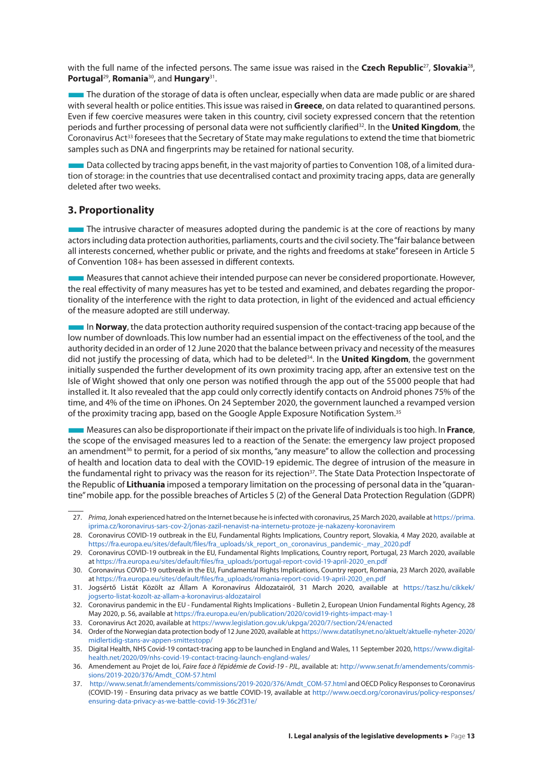<span id="page-13-0"></span>with the full name of the infected persons. The same issue was raised in the **Czech Republic**27, **Slovakia**28, **Portugal**29, **Romania**30, and **Hungary**31.

The duration of the storage of data is often unclear, especially when data are made public or are shared with several health or police entities. This issue was raised in **Greece**, on data related to quarantined persons. Even if few coercive measures were taken in this country, civil society expressed concern that the retention periods and further processing of personal data were not sufficiently clarified32. In the **United Kingdom**, the Coronavirus Act<sup>33</sup> foresees that the Secretary of State may make regulations to extend the time that biometric samples such as DNA and fingerprints may be retained for national security.

■Data collected by tracing apps benefit, in the vast majority of parties to Convention 108, of a limited duration of storage: in the countries that use decentralised contact and proximity tracing apps, data are generally deleted after two weeks.

#### **3. Proportionality**

The intrusive character of measures adopted during the pandemic is at the core of reactions by many actors including data protection authorities, parliaments, courts and the civil society. The "fair balance between all interests concerned, whether public or private, and the rights and freedoms at stake" foreseen in Article 5 of Convention 108+ has been assessed in different contexts.

■Measures that cannot achieve their intended purpose can never be considered proportionate. However, the real effectivity of many measures has yet to be tested and examined, and debates regarding the proportionality of the interference with the right to data protection, in light of the evidenced and actual efficiency of the measure adopted are still underway.

■In **Norway**, the data protection authority required suspension of the contact-tracing app because of the low number of downloads. This low number had an essential impact on the effectiveness of the tool, and the authority decided in an order of 12 June 2020 that the balance between privacy and necessity of the measures did not justify the processing of data, which had to be deleted<sup>34</sup>. In the **United Kingdom**, the government initially suspended the further development of its own proximity tracing app, after an extensive test on the Isle of Wight showed that only one person was notified through the app out of the 55000 people that had installed it. It also revealed that the app could only correctly identify contacts on Android phones 75% of the time, and 4% of the time on iPhones. On 24 September 2020, the government launched a revamped version of the proximity tracing app, based on the Google Apple Exposure Notification System.35

■Measures can also be disproportionate if their impact on the private life of individuals is too high. In **France**, the scope of the envisaged measures led to a reaction of the Senate: the emergency law project proposed an amendment<sup>36</sup> to permit, for a period of six months, "any measure" to allow the collection and processing of health and location data to deal with the COVID-19 epidemic. The degree of intrusion of the measure in the fundamental right to privacy was the reason for its rejection<sup>37</sup>. The State Data Protection Inspectorate of the Republic of **Lithuania** imposed a temporary limitation on the processing of personal data in the "quarantine" mobile app. for the possible breaches of Articles 5 (2) of the General Data Protection Regulation (GDPR)

<sup>27.</sup> *Prima*, Jonah experienced hatred on the Internet because he is infected with coronavirus, 25 March 2020, available at [https://prima.](https://prima.iprima.cz/koronavirus-sars-cov-2/jonas-zazil-nenavist-na-internetu-protoze-je-nakazeny-koronavirem) [iprima.cz/koronavirus-sars-cov-2/jonas-zazil-nenavist-na-internetu-protoze-je-nakazeny-koronavirem](https://prima.iprima.cz/koronavirus-sars-cov-2/jonas-zazil-nenavist-na-internetu-protoze-je-nakazeny-koronavirem)

<sup>28.</sup> Coronavirus COVID-19 outbreak in the EU, Fundamental Rights Implications, Country report, Slovakia, 4 May 2020, available at [https://fra.europa.eu/sites/default/files/fra\\_uploads/sk\\_report\\_on\\_coronavirus\\_pandemic-\\_may\\_2020.pdf](https://fra.europa.eu/sites/default/files/fra_uploads/sk_report_on_coronavirus_pandemic-_may_2020.pdf)

<sup>29.</sup> Coronavirus COVID-19 outbreak in the EU, Fundamental Rights Implications, Country report, Portugal, 23 March 2020, available at [https://fra.europa.eu/sites/default/files/fra\\_uploads/portugal-report-covid-19-april-2020\\_en.pdf](https://fra.europa.eu/sites/default/files/fra_uploads/portugal-report-covid-19-april-2020_en.pdf)

<sup>30.</sup> Coronavirus COVID-19 outbreak in the EU, Fundamental Rights Implications, Country report, Romania, 23 March 2020, available at https://fra.europa.eu/sites/default/files/fra\_uploads/romania-report-covid-19-april-2020\_en.pdf

<sup>31.</sup> Jogsértő Listát Közölt az Állam A Koronavírus Áldozatairól, 31 March 2020, available at [https://tasz.hu/cikkek/](https://tasz.hu/cikkek/jogserto-listat-kozolt-az-allam-a-koronavirus-aldozatairol) [jogserto-listat-kozolt-az-allam-a-koronavirus-aldozatairol](https://tasz.hu/cikkek/jogserto-listat-kozolt-az-allam-a-koronavirus-aldozatairol)

<sup>32.</sup> Coronavirus pandemic in the EU - Fundamental Rights Implications - Bulletin 2, European Union Fundamental Rights Agency, 28 May 2020, p. 56, available at<https://fra.europa.eu/en/publication/2020/covid19-rights-impact-may-1>

<sup>33.</sup> Coronavirus Act 2020, available at <https://www.legislation.gov.uk/ukpga/2020/7/section/24/enacted>

<sup>34.</sup> Order of the Norwegian data protection body of 12 June 2020, available at [https://www.datatilsynet.no/aktuelt/aktuelle-nyheter-2020/](https://www.datatilsynet.no/aktuelt/aktuelle-nyheter-2020/midlertidig-stans-av-appen-smittestopp/) [midlertidig-stans-av-appen-smittestopp/](https://www.datatilsynet.no/aktuelt/aktuelle-nyheter-2020/midlertidig-stans-av-appen-smittestopp/)

<sup>35.</sup> Digital Health, NHS Covid-19 contact-tracing app to be launched in England and Wales, 11 September 2020, [https://www.digital](https://www.digitalhealth.net/2020/09/nhs-covid-19-contact-tracing-launch-england-wales/)[health.net/2020/09/nhs-covid-19-contact-tracing-launch-england-wales/](https://www.digitalhealth.net/2020/09/nhs-covid-19-contact-tracing-launch-england-wales/)

<sup>36.</sup> Amendement au Projet de loi, *Faire face à l'épidémie de Covid-19 - PJL*, available at: [http://www.senat.fr/amendements/commis](http://www.senat.fr/amendements/commissions/2019-2020/376/Amdt_COM-57.html)[sions/2019-2020/376/Amdt\\_COM-57.html](http://www.senat.fr/amendements/commissions/2019-2020/376/Amdt_COM-57.html)

<sup>37.</sup> [http://www.senat.fr/amendements/commissions/2019-2020/376/Amdt\\_COM-57.html](http://www.senat.fr/amendements/commissions/2019-2020/376/Amdt_COM-57.html) and OECD Policy Responses to Coronavirus (COVID-19) - Ensuring data privacy as we battle COVID-19, available at [http://www.oecd.org/coronavirus/policy-responses/](http://www.oecd.org/coronavirus/policy-responses/ensuring-data-privacy-as-we-battle-covid-19-36c2f31e/) [ensuring-data-privacy-as-we-battle-covid-19-36c2f31e/](http://www.oecd.org/coronavirus/policy-responses/ensuring-data-privacy-as-we-battle-covid-19-36c2f31e/)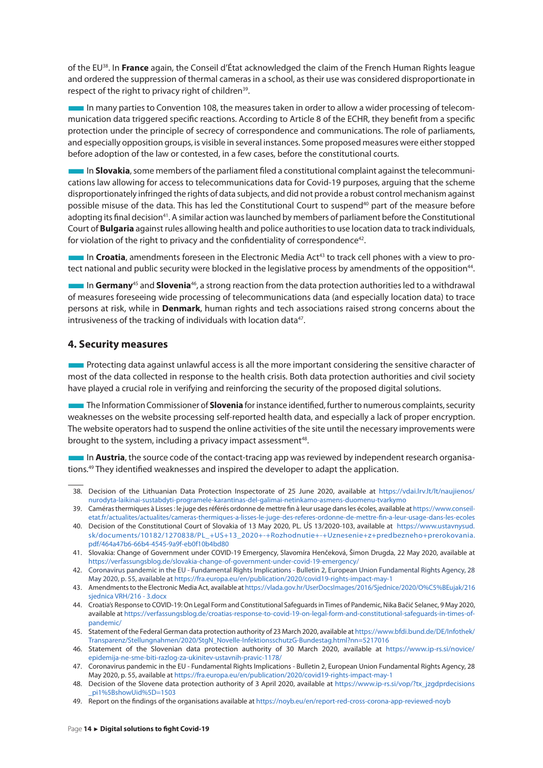<span id="page-14-0"></span>of the EU38. In **France** again, the Conseil d'État acknowledged the claim of the French Human Rights league and ordered the suppression of thermal cameras in a school, as their use was considered disproportionate in respect of the right to privacy right of children<sup>39</sup>.

■In many parties to Convention 108, the measures taken in order to allow a wider processing of telecommunication data triggered specific reactions. According to Article 8 of the ECHR, they benefit from a specific protection under the principle of secrecy of correspondence and communications. The role of parliaments, and especially opposition groups, is visible in several instances. Some proposed measures were either stopped before adoption of the law or contested, in a few cases, before the constitutional courts.

■In **Slovakia**, some members of the parliament filed a constitutional complaint against the telecommunications law allowing for access to telecommunications data for Covid-19 purposes, arguing that the scheme disproportionately infringed the rights of data subjects, and did not provide a robust control mechanism against possible misuse of the data. This has led the Constitutional Court to suspend<sup>40</sup> part of the measure before adopting its final decision<sup>41</sup>. A similar action was launched by members of parliament before the Constitutional Court of **Bulgaria** against rules allowing health and police authorities to use location data to track individuals, for violation of the right to privacy and the confidentiality of correspondence<sup>42</sup>.

 $\blacksquare$  In **Croatia**, amendments foreseen in the Electronic Media Act<sup>43</sup> to track cell phones with a view to protect national and public security were blocked in the legislative process by amendments of the opposition<sup>44</sup>.

**In Germany**<sup>45</sup> and **Slovenia**<sup>46</sup>, a strong reaction from the data protection authorities led to a withdrawal of measures foreseeing wide processing of telecommunications data (and especially location data) to trace persons at risk, while in **Denmark**, human rights and tech associations raised strong concerns about the intrusiveness of the tracking of individuals with location data<sup>47</sup>.

#### **4. Security measures**

**EXECUTE:** Protecting data against unlawful access is all the more important considering the sensitive character of most of the data collected in response to the health crisis. Both data protection authorities and civil society have played a crucial role in verifying and reinforcing the security of the proposed digital solutions.

**The Information Commissioner of Slovenia** for instance identified, further to numerous complaints, security weaknesses on the website processing self-reported health data, and especially a lack of proper encryption. The website operators had to suspend the online activities of the site until the necessary improvements were brought to the system, including a privacy impact assessment<sup>48</sup>.

**In Austria**, the source code of the contact-tracing app was reviewed by independent research organisations.49 They identified weaknesses and inspired the developer to adapt the application.

<sup>38.</sup> Decision of the Lithuanian Data Protection Inspectorate of 25 June 2020, available at [https://vdai.lrv.lt/lt/naujienos/](https://vdai.lrv.lt/lt/naujienos/nurodyta-laikinai-sustabdyti-programele-karantinas-del-galimai-netinkamo-asmens-duomenu-tvarkymo) [nurodyta-laikinai-sustabdyti-programele-karantinas-del-galimai-netinkamo-asmens-duomenu-tvarkymo](https://vdai.lrv.lt/lt/naujienos/nurodyta-laikinai-sustabdyti-programele-karantinas-del-galimai-netinkamo-asmens-duomenu-tvarkymo)

<sup>39.</sup> Caméras thermiques à Lisses : le juge des référés ordonne de mettre fin à leur usage dans les écoles, available at https://www.conseiletat.fr/actualites/actualites/cameras-thermiques-a-lisses-le-juge-des-referes-ordonne-de-mettre-fin-a-leur-usage-dans-les-ecoles

<sup>40.</sup> Decision of the Constitutional Court of Slovakia of 13 May 2020, PL. ÚS 13/2020-103, available at [https://www.ustavnysud.](https://www.ustavnysud.sk/documents/10182/1270838/PL_+US+13_2020+-+Rozhodnutie+-+Uznesenie+z+predbezneho+prerokovania.pdf/464a47b6-66b4-4545-9a9f-eb0f10b4bd80) [sk/documents/10182/1270838/PL\\_+US+13\\_2020+-+Rozhodnutie+-+Uznesenie+z+predbezneho+prerokovania.](https://www.ustavnysud.sk/documents/10182/1270838/PL_+US+13_2020+-+Rozhodnutie+-+Uznesenie+z+predbezneho+prerokovania.pdf/464a47b6-66b4-4545-9a9f-eb0f10b4bd80) [pdf/464a47b6-66b4-4545-9a9f-eb0f10b4bd80](https://www.ustavnysud.sk/documents/10182/1270838/PL_+US+13_2020+-+Rozhodnutie+-+Uznesenie+z+predbezneho+prerokovania.pdf/464a47b6-66b4-4545-9a9f-eb0f10b4bd80)

<sup>41.</sup> Slovakia: Change of Government under COVID-19 Emergency, Slavomíra Henčeková, Šimon Drugda, 22 May 2020, available at <https://verfassungsblog.de/slovakia-change-of-government-under-covid-19-emergency/>

<sup>42.</sup> Coronavirus pandemic in the EU - Fundamental Rights Implications - Bulletin 2, European Union Fundamental Rights Agency, 28 May 2020, p. 55, available at<https://fra.europa.eu/en/publication/2020/covid19-rights-impact-may-1>

<sup>43.</sup> Amendments to the Electronic Media Act, available at [https://vlada.gov.hr/UserDocsImages/2016/Sjednice/2020/O%C5%BEujak/216](https://vlada.gov.hr/UserDocsImages/2016/Sjednice/2020/O%C5%BEujak/216 sjednica VRH/216 - 3.docx) [sjednica VRH/216 - 3.docx](https://vlada.gov.hr/UserDocsImages/2016/Sjednice/2020/O%C5%BEujak/216 sjednica VRH/216 - 3.docx)

<sup>44.</sup> Croatia's Response to COVID-19: On Legal Form and Constitutional Safeguards in Times of Pandemic, Nika Bačić Selanec, 9 May 2020, available at [https://verfassungsblog.de/croatias-response-to-covid-19-on-legal-form-and-constitutional-safeguards-in-times-of](https://verfassungsblog.de/croatias-response-to-covid-19-on-legal-form-and-constitutional-safeguards-in-times-of-pandemic/)[pandemic/](https://verfassungsblog.de/croatias-response-to-covid-19-on-legal-form-and-constitutional-safeguards-in-times-of-pandemic/)

<sup>45.</sup> Statement of the Federal German data protection authority of 23 March 2020, available at [https://www.bfdi.bund.de/DE/Infothek/](https://www.bfdi.bund.de/DE/Infothek/Transparenz/Stellungnahmen/2020/StgN_Novelle-InfektionsschutzG-Bundestag.html?nn=5217016) [Transparenz/Stellungnahmen/2020/StgN\\_Novelle-InfektionsschutzG-Bundestag.html?nn=5217016](https://www.bfdi.bund.de/DE/Infothek/Transparenz/Stellungnahmen/2020/StgN_Novelle-InfektionsschutzG-Bundestag.html?nn=5217016)

<sup>46.</sup> Statement of the Slovenian data protection authority of 30 March 2020, available at [https://www.ip-rs.si/novice/](https://www.ip-rs.si/novice/epidemija-ne-sme-biti-razlog-za-ukinitev-ustavnih-pravic-1178/) [epidemija-ne-sme-biti-razlog-za-ukinitev-ustavnih-pravic-1178/](https://www.ip-rs.si/novice/epidemija-ne-sme-biti-razlog-za-ukinitev-ustavnih-pravic-1178/)

<sup>47.</sup> Coronavirus pandemic in the EU - Fundamental Rights Implications - Bulletin 2, European Union Fundamental Rights Agency, 28 May 2020, p. 55, available at<https://fra.europa.eu/en/publication/2020/covid19-rights-impact-may-1>

<sup>48.</sup> Decision of the Slovene data protection authority of 3 April 2020, available at https://www.ip-rs.si/vop/?tx\_jzgdprdecisions [\\_pi1%5BshowUid%5D=1503](https://www.ip-rs.si/vop/?tx_jzgdprdecisions_pi1%5BshowUid%5D=1503)

<sup>49.</sup> Report on the findings of the organisations available at<https://noyb.eu/en/report-red-cross-corona-app-reviewed-noyb>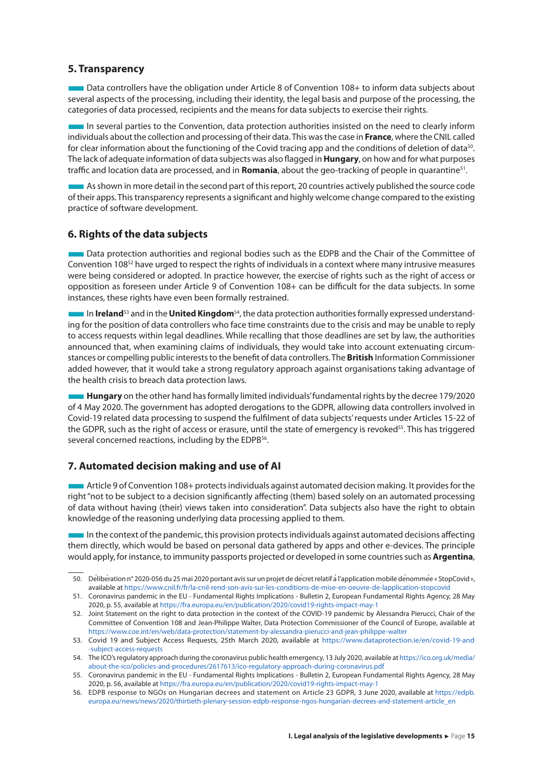#### <span id="page-15-0"></span>**5. Transparency**

**Books Controllers have the obligation under Article 8 of Convention 108+ to inform data subjects about** several aspects of the processing, including their identity, the legal basis and purpose of the processing, the categories of data processed, recipients and the means for data subjects to exercise their rights.

■In several parties to the Convention, data protection authorities insisted on the need to clearly inform individuals about the collection and processing of their data. This was the case in **France**, where the CNIL called for clear information about the functioning of the Covid tracing app and the conditions of deletion of data<sup>50</sup>. The lack of adequate information of data subjects was also flagged in **Hungary**, on how and for what purposes traffic and location data are processed, and in **Romania**, about the geo-tracking of people in quarantine51.

■As shown in more detail in the second part of this report, 20 countries actively published the source code of their apps. This transparency represents a significant and highly welcome change compared to the existing practice of software development.

#### **6. Rights of the data subjects**

■Data protection authorities and regional bodies such as the EDPB and the Chair of the Committee of Convention 10852 have urged to respect the rights of individuals in a context where many intrusive measures were being considered or adopted. In practice however, the exercise of rights such as the right of access or opposition as foreseen under Article 9 of Convention 108+ can be difficult for the data subjects. In some instances, these rights have even been formally restrained.

**The In Ireland**<sup>53</sup> and in the **United Kingdom**<sup>54</sup>, the data protection authorities formally expressed understanding for the position of data controllers who face time constraints due to the crisis and may be unable to reply to access requests within legal deadlines. While recalling that those deadlines are set by law, the authorities announced that, when examining claims of individuals, they would take into account extenuating circumstances or compelling public interests to the benefit of data controllers. The **British** Information Commissioner added however, that it would take a strong regulatory approach against organisations taking advantage of the health crisis to breach data protection laws.

**Hungary** on the other hand has formally limited individuals' fundamental rights by the decree 179/2020 of 4 May 2020. The government has adopted derogations to the GDPR, allowing data controllers involved in Covid-19 related data processing to suspend the fulfilment of data subjects' requests under Articles 15-22 of the GDPR, such as the right of access or erasure, until the state of emergency is revoked<sup>55</sup>. This has triggered several concerned reactions, including by the EDPB<sup>56</sup>.

#### **7. Automated decision making and use of AI**

■Article 9 of Convention 108+ protects individuals against automated decision making. It provides for the right "not to be subject to a decision significantly affecting (them) based solely on an automated processing of data without having (their) views taken into consideration". Data subjects also have the right to obtain knowledge of the reasoning underlying data processing applied to them.

■In the context of the pandemic, this provision protects individuals against automated decisions affecting them directly, which would be based on personal data gathered by apps and other e-devices. The principle would apply, for instance, to immunity passports projected or developed in some countries such as **Argentina**,

<sup>50.</sup> Délibération n° 2020-056 du 25 mai 2020 portant avis sur un projet de décret relatif à l'application mobile dénommée « StopCovid», available at<https://www.cnil.fr/fr/la-cnil-rend-son-avis-sur-les-conditions-de-mise-en-oeuvre-de-lapplication-stopcovid>

<sup>51.</sup> Coronavirus pandemic in the EU - Fundamental Rights Implications - Bulletin 2, European Fundamental Rights Agency, 28 May 2020, p. 55, available at <https://fra.europa.eu/en/publication/2020/covid19-rights-impact-may-1>

<sup>52.</sup> Joint Statement on the right to data protection in the context of the COVID-19 pandemic by Alessandra Pierucci, Chair of the Committee of Convention 108 and Jean-Philippe Walter, Data Protection Commissioner of the Council of Europe, available at <https://www.coe.int/en/web/data-protection/statement-by-alessandra-pierucci-and-jean-philippe-walter>

<sup>53.</sup> Covid 19 and Subject Access Requests, 25th March 2020, available at [https://www.dataprotection.ie/en/covid-19-and](https://www.dataprotection.ie/en/covid-19-and-subject-access-requests)  [-subject-access-requests](https://www.dataprotection.ie/en/covid-19-and-subject-access-requests)

<sup>54.</sup> The ICO's regulatory approach during the coronavirus public health emergency, 13 July 2020, available at [https://ico.org.uk/media/](https://ico.org.uk/media/about-the-ico/policies-and-procedures/2617613/ico-regulatory-approach-during-coronavirus.pdf) [about-the-ico/policies-and-procedures/2617613/ico-regulatory-approach-during-coronavirus.pdf](https://ico.org.uk/media/about-the-ico/policies-and-procedures/2617613/ico-regulatory-approach-during-coronavirus.pdf)

<sup>55.</sup> Coronavirus pandemic in the EU - Fundamental Rights Implications - Bulletin 2, European Fundamental Rights Agency, 28 May 2020, p. 56, available at <https://fra.europa.eu/en/publication/2020/covid19-rights-impact-may-1>

<sup>56.</sup> EDPB response to NGOs on Hungarian decrees and statement on Article 23 GDPR, 3 June 2020, available at [https://edpb.](https://edpb.europa.eu/news/news/2020/thirtieth-plenary-session-edpb-response-ngos-hungarian-decrees-and-statement-article_en) [europa.eu/news/news/2020/thirtieth-plenary-session-edpb-response-ngos-hungarian-decrees-and-statement-article\\_en](https://edpb.europa.eu/news/news/2020/thirtieth-plenary-session-edpb-response-ngos-hungarian-decrees-and-statement-article_en)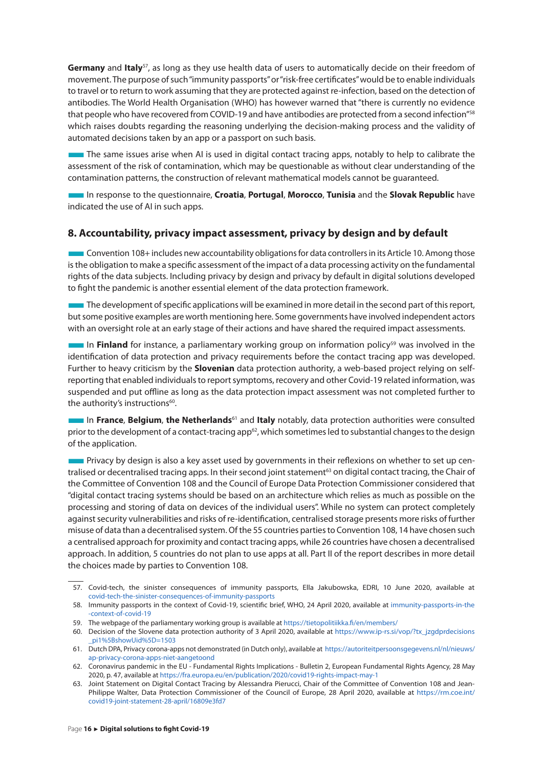<span id="page-16-0"></span>**Germany** and **Italy**57, as long as they use health data of users to automatically decide on their freedom of movement. The purpose of such "immunity passports" or "risk-free certificates" would be to enable individuals to travel or to return to work assuming that they are protected against re-infection, based on the detection of antibodies. The World Health Organisation (WHO) has however warned that "there is currently no evidence that people who have recovered from COVID-19 and have antibodies are protected from a second infection"58 which raises doubts regarding the reasoning underlying the decision-making process and the validity of automated decisions taken by an app or a passport on such basis.

The same issues arise when AI is used in digital contact tracing apps, notably to help to calibrate the assessment of the risk of contamination, which may be questionable as without clear understanding of the contamination patterns, the construction of relevant mathematical models cannot be guaranteed.

■In response to the questionnaire, **Croatia**, **Portugal**, **Morocco**, **Tunisia** and the **Slovak Republic** have indicated the use of AI in such apps.

#### **8. Accountability, privacy impact assessment, privacy by design and by default**

**Convention 108+ includes new accountability obligations for data controllers in its Article 10. Among those** is the obligation to make a specific assessment of the impact of a data processing activity on the fundamental rights of the data subjects. Including privacy by design and privacy by default in digital solutions developed to fight the pandemic is another essential element of the data protection framework.

■The development of specific applications will be examined in more detail in the second part of this report, but some positive examples are worth mentioning here. Some governments have involved independent actors with an oversight role at an early stage of their actions and have shared the required impact assessments.

**In Finland** for instance, a parliamentary working group on information policy<sup>59</sup> was involved in the identification of data protection and privacy requirements before the contact tracing app was developed. Further to heavy criticism by the **Slovenian** data protection authority, a web-based project relying on selfreporting that enabled individuals to report symptoms, recovery and other Covid-19 related information, was suspended and put offline as long as the data protection impact assessment was not completed further to the authority's instructions<sup>60</sup>.

■In **France**, **Belgium**, **the Netherlands**61 and **Italy** notably, data protection authorities were consulted prior to the development of a contact-tracing app<sup>62</sup>, which sometimes led to substantial changes to the design of the application.

■ Privacy by design is also a key asset used by governments in their reflexions on whether to set up centralised or decentralised tracing apps. In their second joint statement<sup>63</sup> on digital contact tracing, the Chair of the Committee of Convention 108 and the Council of Europe Data Protection Commissioner considered that "digital contact tracing systems should be based on an architecture which relies as much as possible on the processing and storing of data on devices of the individual users". While no system can protect completely against security vulnerabilities and risks of re-identification, centralised storage presents more risks of further misuse of data than a decentralised system. Of the 55 countries parties to Convention 108, 14 have chosen such a centralised approach for proximity and contact tracing apps, while 26 countries have chosen a decentralised approach. In addition, 5 countries do not plan to use apps at all. Part II of the report describes in more detail the choices made by parties to Convention 108.

<sup>57.</sup> Covid-tech, the sinister consequences of immunity passports, Ella Jakubowska, EDRI, 10 June 2020, available at [covid-tech-the-sinister-consequences-of-immunity-passports](https://edri.org/covid-tech-the-sinister-consequences-of-immunity-passports/)

<sup>58.</sup> Immunity passports in the context of Covid-19, scientific brief, WHO, 24 April 2020, available at [immunity-passports-in-the](https://www.who.int/news-room/commentaries/detail/immunity-passports-in-the-context-of-covid-19)  [-context-of-covid-19](https://www.who.int/news-room/commentaries/detail/immunity-passports-in-the-context-of-covid-19)

<sup>59.</sup> The webpage of the parliamentary working group is available at<https://tietopolitiikka.fi/en/members/>

<sup>60.</sup> Decision of the Slovene data protection authority of 3 April 2020, available at [https://www.ip-rs.si/vop/?tx\\_jzgdprdecisions](https://www.ip-rs.si/vop/?tx_jzgdprdecisions_pi1%5BshowUid%5D=1503)  [\\_pi1%5BshowUid%5D=1503](https://www.ip-rs.si/vop/?tx_jzgdprdecisions_pi1%5BshowUid%5D=1503)

<sup>61.</sup> Dutch DPA, Privacy corona-apps not demonstrated (in Dutch only), available at [https://autoriteitpersoonsgegevens.nl/nl/nieuws/](https://autoriteitpersoonsgegevens.nl/nl/nieuws/ap-privacy-corona-apps-niet-aangetoond) [ap-privacy-corona-apps-niet-aangetoond](https://autoriteitpersoonsgegevens.nl/nl/nieuws/ap-privacy-corona-apps-niet-aangetoond)

<sup>62.</sup> Coronavirus pandemic in the EU - Fundamental Rights Implications - Bulletin 2, European Fundamental Rights Agency, 28 May 2020, p. 47, available at <https://fra.europa.eu/en/publication/2020/covid19-rights-impact-may-1>

<sup>63.</sup> Joint Statement on Digital Contact Tracing by Alessandra Pierucci, Chair of the Committee of Convention 108 and Jean-Philippe Walter, Data Protection Commissioner of the Council of Europe, 28 April 2020, available at [https://rm.coe.int/](https://rm.coe.int/covid19-joint-statement-28-april/16809e3fd7) [covid19-joint-statement-28-april/16809e3fd7](https://rm.coe.int/covid19-joint-statement-28-april/16809e3fd7)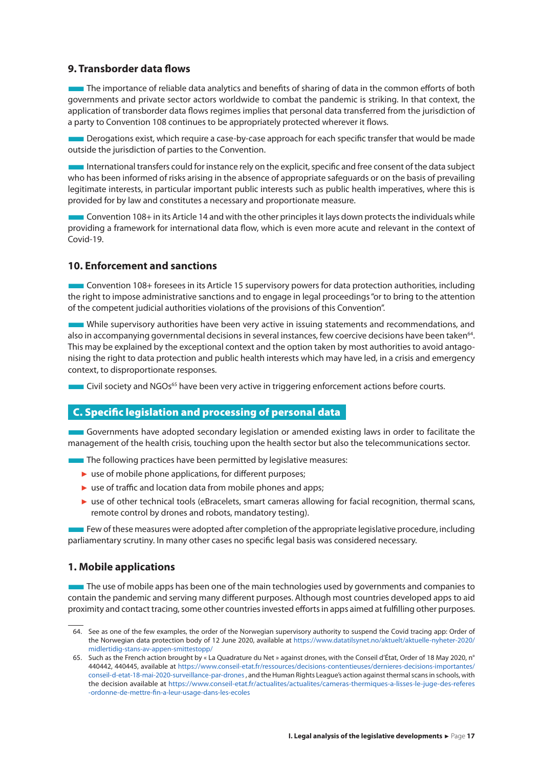#### <span id="page-17-0"></span>**9. Transborder data flows**

The importance of reliable data analytics and benefits of sharing of data in the common efforts of both governments and private sector actors worldwide to combat the pandemic is striking. In that context, the application of transborder data flows regimes implies that personal data transferred from the jurisdiction of a party to Convention 108 continues to be appropriately protected wherever it flows.

**EXECUTE:** Derogations exist, which require a case-by-case approach for each specific transfer that would be made outside the jurisdiction of parties to the Convention.

International transfers could for instance rely on the explicit, specific and free consent of the data subject who has been informed of risks arising in the absence of appropriate safeguards or on the basis of prevailing legitimate interests, in particular important public interests such as public health imperatives, where this is provided for by law and constitutes a necessary and proportionate measure.

■Convention 108+ in its Article 14 and with the other principles it lays down protects the individuals while providing a framework for international data flow, which is even more acute and relevant in the context of Covid-19.

#### **10. Enforcement and sanctions**

■Convention 108+ foresees in its Article 15 supervisory powers for data protection authorities, including the right to impose administrative sanctions and to engage in legal proceedings "or to bring to the attention of the competent judicial authorities violations of the provisions of this Convention".

■While supervisory authorities have been very active in issuing statements and recommendations, and also in accompanying governmental decisions in several instances, few coercive decisions have been taken<sup>64</sup>. This may be explained by the exceptional context and the option taken by most authorities to avoid antagonising the right to data protection and public health interests which may have led, in a crisis and emergency context, to disproportionate responses.

■ Civil society and NGOs<sup>65</sup> have been very active in triggering enforcement actions before courts.

#### C. Specific legislation and processing of personal data

■Governments have adopted secondary legislation or amended existing laws in order to facilitate the management of the health crisis, touching upon the health sector but also the telecommunications sector.

■ The following practices have been permitted by legislative measures:

- ► use of mobile phone applications, for different purposes;
- ► use of traffic and location data from mobile phones and apps;
- ► use of other technical tools (eBracelets, smart cameras allowing for facial recognition, thermal scans, remote control by drones and robots, mandatory testing).

■ Few of these measures were adopted after completion of the appropriate legislative procedure, including parliamentary scrutiny. In many other cases no specific legal basis was considered necessary.

#### **1. Mobile applications**

**The use of mobile apps has been one of the main technologies used by governments and companies to** contain the pandemic and serving many different purposes. Although most countries developed apps to aid proximity and contact tracing, some other countries invested efforts in apps aimed at fulfilling other purposes.

<sup>64.</sup> See as one of the few examples, the order of the Norwegian supervisory authority to suspend the Covid tracing app: Order of the Norwegian data protection body of 12 June 2020, available at [https://www.datatilsynet.no/aktuelt/aktuelle-nyheter-2020/](https://www.datatilsynet.no/aktuelt/aktuelle-nyheter-2020/midlertidig-stans-av-appen-smittestopp/) [midlertidig-stans-av-appen-smittestopp/](https://www.datatilsynet.no/aktuelt/aktuelle-nyheter-2020/midlertidig-stans-av-appen-smittestopp/)

<sup>65.</sup> Such as the French action brought by « La Quadrature du Net » against drones, with the Conseil d'État, Order of 18 May 2020, n° 440442, 440445, available at [https://www.conseil-etat.fr/ressources/decisions-contentieuses/dernieres-decisions-importantes/](https://www.conseil-etat.fr/ressources/decisions-contentieuses/dernieres-decisions-importantes/conseil-d-etat-18-mai-2020-surveillance-par-drones) [conseil-d-etat-18-mai-2020-surveillance-par-drones](https://www.conseil-etat.fr/ressources/decisions-contentieuses/dernieres-decisions-importantes/conseil-d-etat-18-mai-2020-surveillance-par-drones) , and the Human Rights League's action against thermal scans in schools, with the decision available at [https://www.conseil-etat.fr/actualites/actualites/cameras-thermiques-a-lisses-le-juge-des-referes](https://www.conseil-etat.fr/actualites/actualites/cameras-thermiques-a-lisses-le-juge-des-referes-ordonne-de-mettre-fin-a-leur-usage-dans-les-ecoles)  [-ordonne-de-mettre-fin-a-leur-usage-dans-les-ecoles](https://www.conseil-etat.fr/actualites/actualites/cameras-thermiques-a-lisses-le-juge-des-referes-ordonne-de-mettre-fin-a-leur-usage-dans-les-ecoles)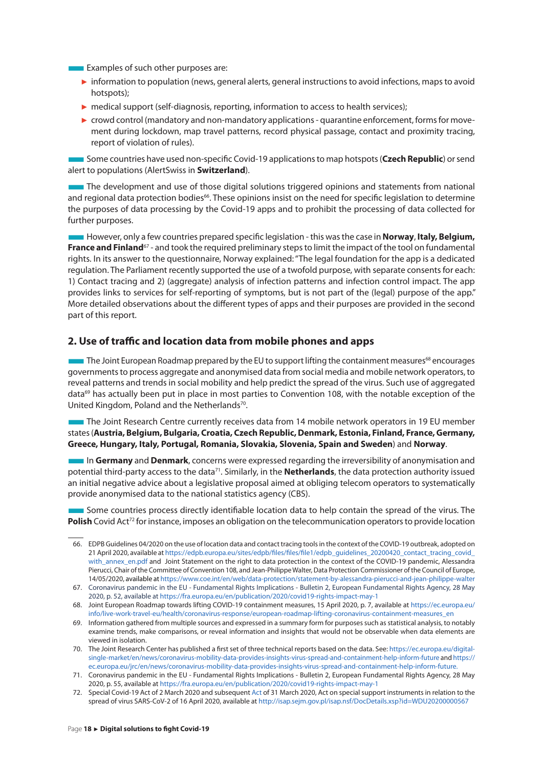<span id="page-18-0"></span>**Examples of such other purposes are:** 

- ► information to population (news, general alerts, general instructions to avoid infections, maps to avoid hotspots);
- ► medical support (self-diagnosis, reporting, information to access to health services);
- $\triangleright$  crowd control (mandatory and non-mandatory applications quarantine enforcement, forms for movement during lockdown, map travel patterns, record physical passage, contact and proximity tracing, report of violation of rules).

■Some countries have used non-specific Covid-19 applications to map hotspots (**Czech Republic**) or send alert to populations (AlertSwiss in **Switzerland**).

■The development and use of those digital solutions triggered opinions and statements from national and regional data protection bodies<sup>66</sup>. These opinions insist on the need for specific legislation to determine the purposes of data processing by the Covid-19 apps and to prohibit the processing of data collected for further purposes.

■However, only a few countries prepared specific legislation - this was the case in **Norway**, **Italy, Belgium, France and Finland**67 - and took the required preliminary steps to limit the impact of the tool on fundamental rights. In its answer to the questionnaire, Norway explained: "The legal foundation for the app is a dedicated regulation. The Parliament recently supported the use of a twofold purpose, with separate consents for each: 1) Contact tracing and 2) (aggregate) analysis of infection patterns and infection control impact. The app provides links to services for self-reporting of symptoms, but is not part of the (legal) purpose of the app." More detailed observations about the different types of apps and their purposes are provided in the second part of this report.

#### **2. Use of traffic and location data from mobile phones and apps**

The Joint European Roadmap prepared by the EU to support lifting the containment measures<sup>68</sup> encourages governments to process aggregate and anonymised data from social media and mobile network operators, to reveal patterns and trends in social mobility and help predict the spread of the virus. Such use of aggregated data<sup>69</sup> has actually been put in place in most parties to Convention 108, with the notable exception of the United Kingdom, Poland and the Netherlands<sup>70</sup>.

The Joint Research Centre currently receives data from 14 mobile network operators in 19 EU member states (**Austria, Belgium, Bulgaria, Croatia, Czech Republic, Denmark, Estonia, Finland, France, Germany, Greece, Hungary, Italy, Portugal, Romania, Slovakia, Slovenia, Spain and Sweden**) and **Norway**.

■In **Germany** and **Denmark**, concerns were expressed regarding the irreversibility of anonymisation and potential third-party access to the data71. Similarly, in the **Netherlands**, the data protection authority issued an initial negative advice about a legislative proposal aimed at obliging telecom operators to systematically provide anonymised data to the national statistics agency (CBS).

■Some countries process directly identifiable location data to help contain the spread of the virus. The Polish Covid Act<sup>72</sup> for instance, imposes an obligation on the telecommunication operators to provide location

<sup>66.</sup> EDPB Guidelines 04/2020 on the use of location data and contact tracing tools in the context of the COVID-19 outbreak, adopted on 21 April 2020, available at [https://edpb.europa.eu/sites/edpb/files/files/file1/edpb\\_guidelines\\_20200420\\_contact\\_tracing\\_covid\\_](https://edpb.europa.eu/sites/edpb/files/files/file1/edpb_guidelines_20200420_contact_tracing_covid_with_annex_en.pdf) [with\\_annex\\_en.pdf](https://edpb.europa.eu/sites/edpb/files/files/file1/edpb_guidelines_20200420_contact_tracing_covid_with_annex_en.pdf) and Joint Statement on the right to data protection in the context of the COVID-19 pandemic, Alessandra Pierucci, Chair of the Committee of Convention 108, and Jean-Philippe Walter, Data Protection Commissioner of the Council of Europe, 14/05/2020, available at<https://www.coe.int/en/web/data-protection/statement-by-alessandra-pierucci-and-jean-philippe-walter>

<sup>67.</sup> Coronavirus pandemic in the EU - Fundamental Rights Implications - Bulletin 2, European Fundamental Rights Agency, 28 May 2020, p. 52, available at <https://fra.europa.eu/en/publication/2020/covid19-rights-impact-may-1>

<sup>68.</sup> Joint European Roadmap towards lifting COVID-19 containment measures, 15 April 2020, p. 7, available at [https://ec.europa.eu/](https://ec.europa.eu/info/live-work-travel-eu/health/coronavirus-response/european-roadmap-lifting-coronavirus-containment-measures_en) [info/live-work-travel-eu/health/coronavirus-response/european-roadmap-lifting-coronavirus-containment-measures\\_en](https://ec.europa.eu/info/live-work-travel-eu/health/coronavirus-response/european-roadmap-lifting-coronavirus-containment-measures_en)

<sup>69.</sup> Information gathered from multiple sources and expressed in a summary form for purposes such as statistical analysis, to notably examine trends, make comparisons, or reveal information and insights that would not be observable when data elements are viewed in isolation.

<sup>70.</sup> The Joint Research Center has published a first set of three technical reports based on the data. See: [https://ec.europa.eu/digital](https://ec.europa.eu/digital-single-market/en/news/coronavirus-mobility-data-provides-insights-virus-spread-and-containment-help-inform-future)[single-market/en/news/coronavirus-mobility-data-provides-insights-virus-spread-and-containment-help-inform-future](https://ec.europa.eu/digital-single-market/en/news/coronavirus-mobility-data-provides-insights-virus-spread-and-containment-help-inform-future) and [https://](https://ec.europa.eu/jrc/en/news/coronavirus-mobility-data-provides-insights-virus-spread-and-containment-help-inform-future) [ec.europa.eu/jrc/en/news/coronavirus-mobility-data-provides-insights-virus-spread-and-containment-help-inform-future](https://ec.europa.eu/jrc/en/news/coronavirus-mobility-data-provides-insights-virus-spread-and-containment-help-inform-future).

<sup>71.</sup> Coronavirus pandemic in the EU - Fundamental Rights Implications - Bulletin 2, European Fundamental Rights Agency, 28 May 2020, p. 55, available at <https://fra.europa.eu/en/publication/2020/covid19-rights-impact-may-1>

<sup>72.</sup> Special Covid-19 Act of 2 March 2020 and subsequent [Act](http://prawo.sejm.gov.pl/isap.nsf/DocDetails.xsp?id=WDU20200000567) of 31 March 2020, Act on special support instruments in relation to the spread of virus SARS-CoV-2 of 16 April 2020, available at <http://isap.sejm.gov.pl/isap.nsf/DocDetails.xsp?id=WDU20200000567>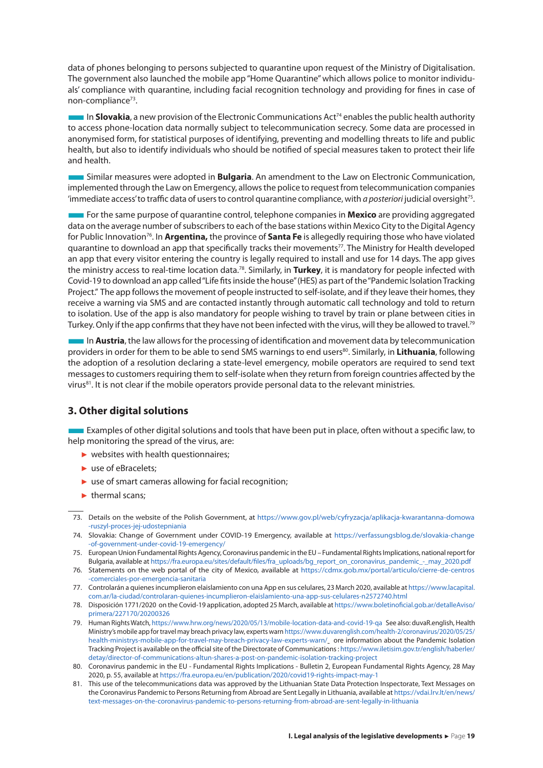<span id="page-19-0"></span>data of phones belonging to persons subjected to quarantine upon request of the Ministry of Digitalisation. The government also launched the mobile app "Home Quarantine" which allows police to monitor individuals' compliance with quarantine, including facial recognition technology and providing for fines in case of non-compliance<sup>73</sup>.

**In Slovakia**, a new provision of the Electronic Communications Act<sup>74</sup> enables the public health authority to access phone-location data normally subject to telecommunication secrecy. Some data are processed in anonymised form, for statistical purposes of identifying, preventing and modelling threats to life and public health, but also to identify individuals who should be notified of special measures taken to protect their life and health.

■Similar measures were adopted in **Bulgaria**. An amendment to the Law on Electronic Communication, implemented through the Law on Emergency, allows the police to request from telecommunication companies 'immediate access' to traffic data of users to control quarantine compliance, with *a posteriori* judicial oversight75.

■For the same purpose of quarantine control, telephone companies in **Mexico** are providing aggregated data on the average number of subscribers to each of the base stations within Mexico City to the Digital Agency for Public Innovation76. In **Argentina,** the province of **Santa Fe** is allegedly requiring those who have violated quarantine to download an app that specifically tracks their movements77. The Ministry for Health developed an app that every visitor entering the country is legally required to install and use for 14 days. The app gives the ministry access to real-time location data.78. Similarly, in **Turkey**, it is mandatory for people infected with Covid-19 to download an app called "Life fits inside the house" (HES) as part of the "Pandemic Isolation Tracking Project." The app follows the movement of people instructed to self-isolate, and if they leave their homes, they receive a warning via SMS and are contacted instantly through automatic call technology and told to return to isolation. Use of the app is also mandatory for people wishing to travel by train or plane between cities in Turkey. Only if the app confirms that they have not been infected with the virus, will they be allowed to travel.<sup>79</sup>

**In Austria**, the law allows for the processing of identification and movement data by telecommunication providers in order for them to be able to send SMS warnings to end users<sup>80</sup>. Similarly, in **Lithuania**, following the adoption of a resolution declaring a state-level emergency, mobile operators are required to send text messages to customers requiring them to self-isolate when they return from foreign countries affected by the virus<sup>81</sup>. It is not clear if the mobile operators provide personal data to the relevant ministries.

#### **3. Other digital solutions**

■Examples of other digital solutions and tools that have been put in place, often without a specific law, to help monitoring the spread of the virus, are:

- $\blacktriangleright$  websites with health questionnaires;
- ► use of eBracelets;
- ► use of smart cameras allowing for facial recognition;
- $\blacktriangleright$  thermal scans;

74. Slovakia: Change of Government under COVID-19 Emergency, available at [https://verfassungsblog.de/slovakia-change](https://verfassungsblog.de/slovakia-change-of-government-under-covid-19-emergency/)  [-of-government-under-covid-19-emergency/](https://verfassungsblog.de/slovakia-change-of-government-under-covid-19-emergency/)

75. European Union Fundamental Rights Agency, Coronavirus pandemic in the EU – Fundamental Rights Implications, national report for Bulgaria, available at [https://fra.europa.eu/sites/default/files/fra\\_uploads/bg\\_report\\_on\\_coronavirus\\_pandemic\\_-\\_may\\_2020.pdf](https://fra.europa.eu/sites/default/files/fra_uploads/bg_report_on_coronavirus_pandemic_-_may_2020.pdf)

76. Statements on the web portal of the city of Mexico, available at [https://cdmx.gob.mx/portal/articulo/cierre-de-centros](https://cdmx.gob.mx/portal/articulo/cierre-de-centros-comerciales-por-emergencia-sanitaria)  [-comerciales-por-emergencia-sanitaria](https://cdmx.gob.mx/portal/articulo/cierre-de-centros-comerciales-por-emergencia-sanitaria)

77. Controlarán a quienes incumplieron elaislamiento con una App en sus celulares, 23 March 2020, available at [https://www.lacapital.](https://www.lacapital.com.ar/la-ciudad/controlaran-quienes-incumplieron-elaislamiento-una-app-sus-celulares-n2572740.html) [com.ar/la-ciudad/controlaran-quienes-incumplieron-elaislamiento-una-app-sus-celulares-n2572740.html](https://www.lacapital.com.ar/la-ciudad/controlaran-quienes-incumplieron-elaislamiento-una-app-sus-celulares-n2572740.html)

- 78. Disposición 1771/2020 on the Covid-19 application, adopted 25 March, available at [https://www.boletinoficial.gob.ar/detalleAviso/](https://www.boletinoficial.gob.ar/detalleAviso/primera/227170/20200326) [primera/227170/20200326](https://www.boletinoficial.gob.ar/detalleAviso/primera/227170/20200326)
- 79. Human Rights Watch,<https://www.hrw.org/news/2020/05/13/mobile-location-data-and-covid-19-qa> See also: duvaR.english, Health Ministry's mobile app for travel may breach privacy law, experts warn [https://www.duvarenglish.com/health-2/coronavirus/2020/05/25/](https://www.duvarenglish.com/health-2/coronavirus/2020/05/25/health-ministrys-mobile-app-for-travel-may-breach-privacy-law-experts-warn/) [health-ministrys-mobile-app-for-travel-may-breach-privacy-law-experts-warn/](https://www.duvarenglish.com/health-2/coronavirus/2020/05/25/health-ministrys-mobile-app-for-travel-may-breach-privacy-law-experts-warn/) ore information about the Pandemic Isolation Tracking Project is available on the official site of the Directorate of Communications : [https://www.iletisim.gov.tr/english/haberler/](https://www.iletisim.gov.tr/english/haberler/detay/director-of-communications-altun-shares-a-post-on-pandemic-isolation-tracking-project) [detay/director-of-communications-altun-shares-a-post-on-pandemic-isolation-tracking-project](https://www.iletisim.gov.tr/english/haberler/detay/director-of-communications-altun-shares-a-post-on-pandemic-isolation-tracking-project)
- 80. Coronavirus pandemic in the EU Fundamental Rights Implications Bulletin 2, European Fundamental Rights Agency, 28 May 2020, p. 55, available at <https://fra.europa.eu/en/publication/2020/covid19-rights-impact-may-1>
- 81. This use of the telecommunications data was approved by the Lithuanian State Data Protection Inspectorate, Text Messages on the Coronavirus Pandemic to Persons Returning from Abroad are Sent Legally in Lithuania, available at [https://vdai.lrv.lt/en/news/](https://vdai.lrv.lt/en/news/text-messages-on-the-coronavirus-pandemic-to-persons-returning-from-abroad-are-sent-legally-in-lithuania) [text-messages-on-the-coronavirus-pandemic-to-persons-returning-from-abroad-are-sent-legally-in-lithuania](https://vdai.lrv.lt/en/news/text-messages-on-the-coronavirus-pandemic-to-persons-returning-from-abroad-are-sent-legally-in-lithuania)

<sup>73.</sup> Details on the website of the Polish Government, at [https://www.gov.pl/web/cyfryzacja/aplikacja-kwarantanna-domowa](https://www.gov.pl/web/cyfryzacja/aplikacja-kwarantanna-domowa-ruszyl-proces-jej-udostepniania)  [-ruszyl-proces-jej-udostepniania](https://www.gov.pl/web/cyfryzacja/aplikacja-kwarantanna-domowa-ruszyl-proces-jej-udostepniania)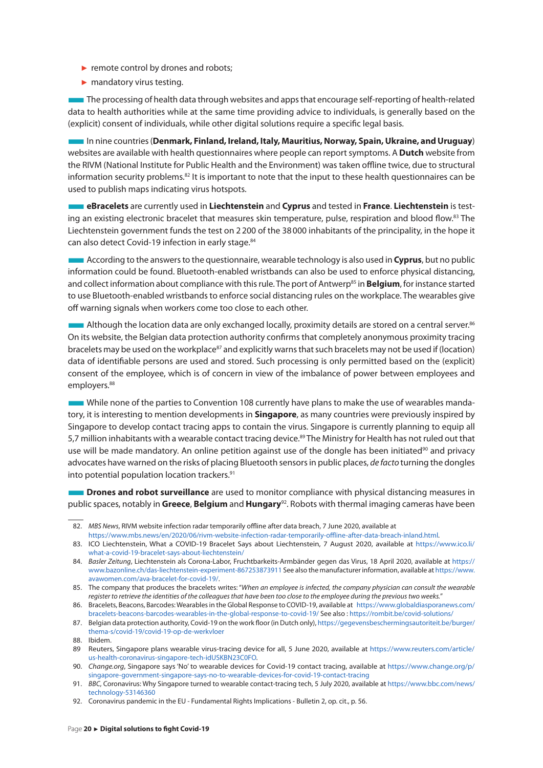- ► remote control by drones and robots;
- ► mandatory virus testing.

■The processing of health data through websites and apps that encourage self-reporting of health-related data to health authorities while at the same time providing advice to individuals, is generally based on the (explicit) consent of individuals, while other digital solutions require a specific legal basis.

■In nine countries (**Denmark, Finland, Ireland, Italy, Mauritius, Norway, Spain, Ukraine, and Uruguay**) websites are available with health questionnaires where people can report symptoms. A **Dutch** website from the RIVM (National Institute for Public Health and the Environment) was taken offline twice, due to structural information security problems.82 It is important to note that the input to these health questionnaires can be used to publish maps indicating virus hotspots.

■**eBracelets** are currently used in **Liechtenstein** and **Cyprus** and tested in **France**. **Liechtenstein** is testing an existing electronic bracelet that measures skin temperature, pulse, respiration and blood flow.<sup>83</sup> The Liechtenstein government funds the test on 2200 of the 38000 inhabitants of the principality, in the hope it can also detect Covid-19 infection in early stage.<sup>84</sup>

■According to the answers to the questionnaire, wearable technology is also used in **Cyprus**, but no public information could be found. Bluetooth-enabled wristbands can also be used to enforce physical distancing, and collect information about compliance with this rule. The port of Antwerp<sup>85</sup> in **Belgium**, for instance started to use Bluetooth-enabled wristbands to enforce social distancing rules on the workplace. The wearables give off warning signals when workers come too close to each other.

**Although the location data are only exchanged locally, proximity details are stored on a central server.**86 On its website, the Belgian data protection authority confirms that completely anonymous proximity tracing bracelets may be used on the workplace<sup>87</sup> and explicitly warns that such bracelets may not be used if (location) data of identifiable persons are used and stored. Such processing is only permitted based on the (explicit) consent of the employee, which is of concern in view of the imbalance of power between employees and employers.<sup>88</sup>

While none of the parties to Convention 108 currently have plans to make the use of wearables mandatory, it is interesting to mention developments in **Singapore**, as many countries were previously inspired by Singapore to develop contact tracing apps to contain the virus. Singapore is currently planning to equip all 5,7 million inhabitants with a wearable contact tracing device.<sup>89</sup> The Ministry for Health has not ruled out that use will be made mandatory. An online petition against use of the dongle has been initiated<sup>90</sup> and privacy advocates have warned on the risks of placing Bluetooth sensors in public places, *de facto* turning the dongles into potential population location trackers.<sup>91</sup>

■**Drones and robot surveillance** are used to monitor compliance with physical distancing measures in public spaces, notably in **Greece**, **Belgium** and **Hungary**92. Robots with thermal imaging cameras have been

<sup>82.</sup> *MBS News*, RIVM website infection radar temporarily offline after data breach, 7 June 2020, available at

[https://www.mbs.news/en/2020/06/rivm-website-infection-radar-temporarily-offline-after-data-breach-inland.html.](https://www.mbs.news/en/2020/06/rivm-website-infection-radar-temporarily-offline-after-data-breach-inland.html)

<sup>83.</sup> ICO Liechtenstein, What a COVID-19 Bracelet Says about Liechtenstein, 7 August 2020, available at [https://www.ico.li/](https://www.ico.li/what-a-covid-19-bracelet-says-about-liechtenstein/) [what-a-covid-19-bracelet-says-about-liechtenstein/](https://www.ico.li/what-a-covid-19-bracelet-says-about-liechtenstein/)

<sup>84.</sup> *Basler Zeitung*, Liechtenstein als Corona-Labor, Fruchtbarkeits-Armbänder gegen das Virus, 18 April 2020, available at [https://](https://www.bazonline.ch/das-liechtenstein-experiment-867253873911) [www.bazonline.ch/das-liechtenstein-experiment-867253873911](https://www.bazonline.ch/das-liechtenstein-experiment-867253873911) See also the manufacturer information, available at [https://www.](https://www.avawomen.com/ava-bracelet-for-covid-19/) [avawomen.com/ava-bracelet-for-covid-19/.](https://www.avawomen.com/ava-bracelet-for-covid-19/)

<sup>85.</sup> The company that produces the bracelets writes: "*When an employee is infected, the company physician can consult the wearable register to retrieve the identities of the colleagues that have been too close to the employee during the previous two weeks.*"

<sup>86.</sup> Bracelets, Beacons, Barcodes: Wearables in the Global Response to COVID-19, available at [https://www.globaldiasporanews.com/](https://www.globaldiasporanews.com/bracelets-beacons-barcodes-wearables-in-the-global-response-to-covid-19/) [bracelets-beacons-barcodes-wearables-in-the-global-response-to-covid-19/](https://www.globaldiasporanews.com/bracelets-beacons-barcodes-wearables-in-the-global-response-to-covid-19/) See also :<https://rombit.be/covid-solutions/>

<sup>87.</sup> Belgian data protection authority, Covid-19 on the work floor (in Dutch only), [https://gegevensbeschermingsautoriteit.be/burger/](https://gegevensbeschermingsautoriteit.be/burger/thema-s/covid-19/covid-19-op-de-werkvloer) [thema-s/covid-19/covid-19-op-de-werkvloer](https://gegevensbeschermingsautoriteit.be/burger/thema-s/covid-19/covid-19-op-de-werkvloer)

<sup>88.</sup> Ibidem.

<sup>89</sup> Reuters, Singapore plans wearable virus-tracing device for all, 5 June 2020, available at [https://www.reuters.com/article/](https://www.reuters.com/article/us-health-coronavirus-singapore-tech-idUSKBN23C0FO) [us-health-coronavirus-singapore-tech-idUSKBN23C0FO](https://www.reuters.com/article/us-health-coronavirus-singapore-tech-idUSKBN23C0FO).

<sup>90.</sup> *Change.org*, Singapore says 'No' to wearable devices for Covid-19 contact tracing, available at [https://www.change.org/p/](https://www.change.org/p/singapore-government-singapore-says-no-to-wearable-devices-for-covid-19-contact-tracing) [singapore-government-singapore-says-no-to-wearable-devices-for-covid-19-contact-tracing](https://www.change.org/p/singapore-government-singapore-says-no-to-wearable-devices-for-covid-19-contact-tracing)

<sup>91.</sup> *BBC*, Coronavirus: Why Singapore turned to wearable contact-tracing tech, 5 July 2020, available at [https://www.bbc.com/news/](https://www.bbc.com/news/technology-53146360) [technology-53146360](https://www.bbc.com/news/technology-53146360)

<sup>92.</sup> Coronavirus pandemic in the EU - Fundamental Rights Implications - Bulletin 2, op. cit., p. 56.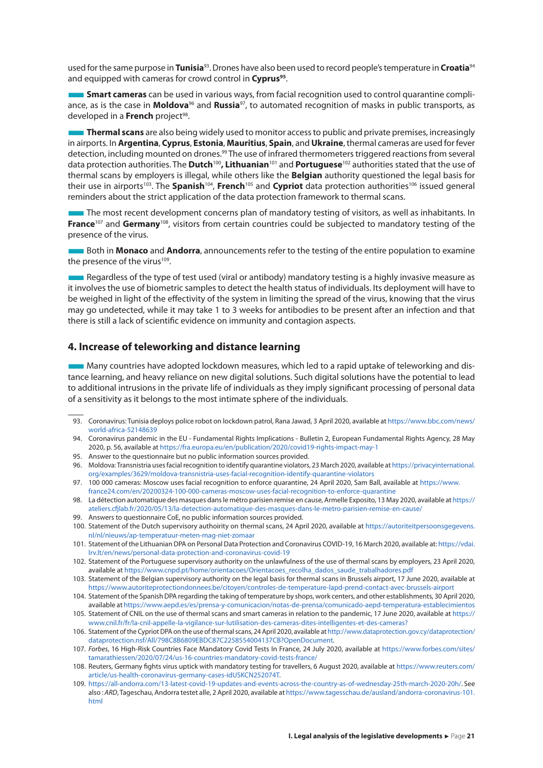<span id="page-21-0"></span>used for the same purpose in **Tunisia**93. Drones have also been used to record people's temperature in **Croatia**<sup>94</sup> and equipped with cameras for crowd control in **Cyprus**<sup>95</sup>.

**Smart cameras** can be used in various ways, from facial recognition used to control quarantine compliance, as is the case in **Moldova**96 and **Russia**97, to automated recognition of masks in public transports, as developed in a **French** project<sup>98</sup>.

■**Thermal scans** are also being widely used to monitor access to public and private premises, increasingly in airports. In **Argentina**, **Cyprus**, **Estonia**, **Mauritius**, **Spain**, and **Ukraine**, thermal cameras are used for fever detection, including mounted on drones.<sup>99</sup> The use of infrared thermometers triggered reactions from several data protection authorities. The **Dutch**100**, Lithuanian**101 and **Portuguese**102 authorities stated that the use of thermal scans by employers is illegal, while others like the **Belgian** authority questioned the legal basis for their use in airports103. The **Spanish**104, **French**105 and **Cypriot** data protection authorities106 issued general reminders about the strict application of the data protection framework to thermal scans.

■The most recent development concerns plan of mandatory testing of visitors, as well as inhabitants. In **France**<sup>107</sup> and **Germany**108, visitors from certain countries could be subjected to mandatory testing of the presence of the virus.

■Both in **Monaco** and **Andorra**, announcements refer to the testing of the entire population to examine the presence of the virus<sup>109</sup>.

■Regardless of the type of test used (viral or antibody) mandatory testing is a highly invasive measure as it involves the use of biometric samples to detect the health status of individuals. Its deployment will have to be weighed in light of the effectivity of the system in limiting the spread of the virus, knowing that the virus may go undetected, while it may take 1 to 3 weeks for antibodies to be present after an infection and that there is still a lack of scientific evidence on immunity and contagion aspects.

#### **4. Increase of teleworking and distance learning**

■Many countries have adopted lockdown measures, which led to a rapid uptake of teleworking and distance learning, and heavy reliance on new digital solutions. Such digital solutions have the potential to lead to additional intrusions in the private life of individuals as they imply significant processing of personal data of a sensitivity as it belongs to the most intimate sphere of the individuals.

- 93. Coronavirus: Tunisia deploys police robot on lockdown patrol, Rana Jawad, 3 April 2020, available at [https://www.bbc.com/news/](https://www.bbc.com/news/world-africa-52148639) [world-africa-52148639](https://www.bbc.com/news/world-africa-52148639)
- 94. Coronavirus pandemic in the EU Fundamental Rights Implications Bulletin 2, European Fundamental Rights Agency, 28 May 2020, p. 56, available at <https://fra.europa.eu/en/publication/2020/covid19-rights-impact-may-1>
- 95. Answer to the questionnaire but no public information sources provided.
- 96. Moldova: Transnistria uses facial recognition to identify quarantine violators, 23 March 2020, available at [https://privacyinternational.](https://privacyinternational.org/examples/3629/moldova-transnistria-uses-facial-recognition-identify-quarantine-violators) [org/examples/3629/moldova-transnistria-uses-facial-recognition-identify-quarantine-violators](https://privacyinternational.org/examples/3629/moldova-transnistria-uses-facial-recognition-identify-quarantine-violators)
- 97. 100 000 cameras: Moscow uses facial recognition to enforce quarantine, 24 April 2020, Sam Ball, available at [https://www.](https://www.france24.com/en/20200324-100-000-cameras-moscow-uses-facial-recognition-to-enforce-quarantine) [france24.com/en/20200324-100-000-cameras-moscow-uses-facial-recognition-to-enforce-quarantine](https://www.france24.com/en/20200324-100-000-cameras-moscow-uses-facial-recognition-to-enforce-quarantine)
- 98. La détection automatique des masques dans le métro parisien remise en cause, Armelle Exposito, 13 May 2020, available at [https://](https://ateliers.cfjlab.fr/2020/05/13/la-detection-automatique-des-masques-dans-le-metro-parisien-remise-en-cause/) [ateliers.cfjlab.fr/2020/05/13/la-detection-automatique-des-masques-dans-le-metro-parisien-remise-en-cause/](https://ateliers.cfjlab.fr/2020/05/13/la-detection-automatique-des-masques-dans-le-metro-parisien-remise-en-cause/)
- 99. Answers to questionnaire CoE, no public information sources provided.

100. Statement of the Dutch supervisory authoirity on thermal scans, 24 April 2020, available at [https://autoriteitpersoonsgegevens.](https://autoriteitpersoonsgegevens.nl/nl/nieuws/ap-temperatuur-meten-mag-niet-zomaar) [nl/nl/nieuws/ap-temperatuur-meten-mag-niet-zomaar](https://autoriteitpersoonsgegevens.nl/nl/nieuws/ap-temperatuur-meten-mag-niet-zomaar)

- 101. Statement of the Lithuanian DPA on Personal Data Protection and Coronavirus COVID-19, 16 March 2020, available at: [https://vdai.](https://vdai.lrv.lt/en/news/personal-data-protection-and-coronavirus-covid-19) [lrv.lt/en/news/personal-data-protection-and-coronavirus-covid-19](https://vdai.lrv.lt/en/news/personal-data-protection-and-coronavirus-covid-19)
- 102. Statement of the Portuguese supervisory authority on the unlawfulness of the use of thermal scans by employers, 23 April 2020, available at [https://www.cnpd.pt/home/orientacoes/Orientacoes\\_recolha\\_dados\\_saude\\_trabalhadores.pdf](https://www.cnpd.pt/home/orientacoes/Orientacoes_recolha_dados_saude_trabalhadores.pdf)
- 103. Statement of the Belgian supervisory authority on the legal basis for thermal scans in Brussels airport, 17 June 2020, available at <https://www.autoriteprotectiondonnees.be/citoyen/controles-de-temperature-lapd-prend-contact-avec-brussels-airport>
- 104. [Statement of the Spanish DPA regarding the taking of temperature by shops, work centers, and other establishments,](file:///C:\Users\sjoera.nas\OneDrive  Privacy Company\Documenten\CoE\Statement of the Spanish DPA regarding the taking of temperature by shops, work centers,and other establishments) 30 April 2020, available at<https://www.aepd.es/es/prensa-y-comunicacion/notas-de-prensa/comunicado-aepd-temperatura-establecimientos>
- 105. Statement of CNIL on the use of thermal scans and smart cameras in relation to the pandemic, 17 June 2020, available at [https://](https://www.cnil.fr/fr/la-cnil-appelle-la-vigilance-sur-lutilisation-des-cameras-dites-intelligentes-et-des-cameras?) [www.cnil.fr/fr/la-cnil-appelle-la-vigilance-sur-lutilisation-des-cameras-dites-intelligentes-et-des-cameras?](https://www.cnil.fr/fr/la-cnil-appelle-la-vigilance-sur-lutilisation-des-cameras-dites-intelligentes-et-des-cameras?)
- 106. Statement of the [Cypriot DPA](http://www.dataprotection.gov.cy/dataprotection/dataprotection.nsf/All/798C8B6809EBDC87C2258554004137CB?OpenDocument) on the use of thermal scans, 24 April 2020, available at [http://www.dataprotection.gov.cy/dataprotection/](http://www.dataprotection.gov.cy/dataprotection/dataprotection.nsf/All/798C8B6809EBDC87C2258554004137CB?OpenDocument) [dataprotection.nsf/All/798C8B6809EBDC87C2258554004137CB?OpenDocument](http://www.dataprotection.gov.cy/dataprotection/dataprotection.nsf/All/798C8B6809EBDC87C2258554004137CB?OpenDocument).
- 107. *Forbes*, 16 High-Risk Countries Face Mandatory Covid Tests In France, 24 July 2020, available at [https://www.forbes.com/sites/](https://www.forbes.com/sites/tamarathiessen/2020/07/24/us-16-countries-mandatory-covid-tests-france/) [tamarathiessen/2020/07/24/us-16-countries-mandatory-covid-tests-france/](https://www.forbes.com/sites/tamarathiessen/2020/07/24/us-16-countries-mandatory-covid-tests-france/)
- 108. Reuters, Germany fights virus uptick with mandatory testing for travellers, 6 August 2020, available at [https://www.reuters.com/](https://www.reuters.com/article/us-health-coronavirus-germany-cases-idUSKCN252074T) [article/us-health-coronavirus-germany-cases-idUSKCN252074T](https://www.reuters.com/article/us-health-coronavirus-germany-cases-idUSKCN252074T).
- 109. <https://all-andorra.com/13-latest-covid-19-updates-and-events-across-the-country-as-of-wednesday-25th-march-2020-20h/>. See also : *ARD*, Tageschau, Andorra testet alle, 2 April 2020, available at [https://www.tagesschau.de/ausland/andorra-coronavirus-101.](https://www.tagesschau.de/ausland/andorra-coronavirus-101.html) [html](https://www.tagesschau.de/ausland/andorra-coronavirus-101.html)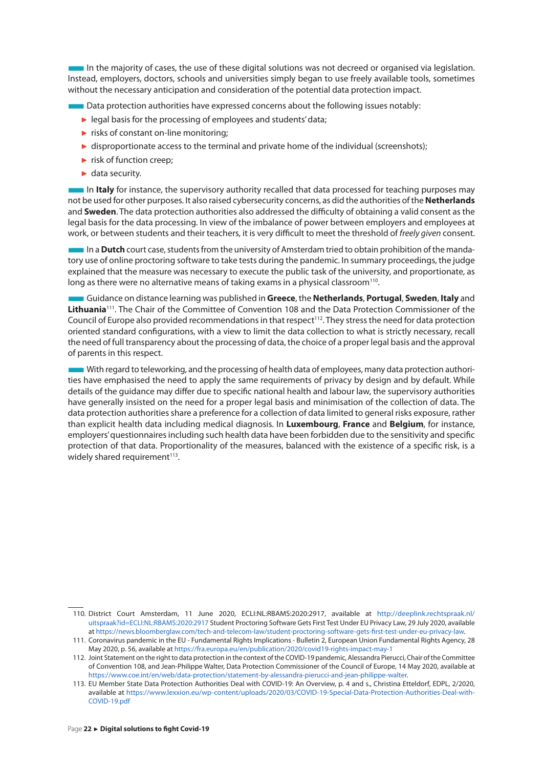■In the majority of cases, the use of these digital solutions was not decreed or organised via legislation. Instead, employers, doctors, schools and universities simply began to use freely available tools, sometimes without the necessary anticipation and consideration of the potential data protection impact.

■Data protection authorities have expressed concerns about the following issues notably:

- ► legal basis for the processing of employees and students' data;
- ► risks of constant on-line monitoring;
- ► disproportionate access to the terminal and private home of the individual (screenshots);
- ► risk of function creep;
- ► data security.

**In Italy** for instance, the supervisory authority recalled that data processed for teaching purposes may not be used for other purposes. It also raised cybersecurity concerns, as did the authorities of the **Netherlands** and **Sweden**. The data protection authorities also addressed the difficulty of obtaining a valid consent as the legal basis for the data processing. In view of the imbalance of power between employers and employees at work, or between students and their teachers, it is very difficult to meet the threshold of *freely given* consent.

**IFF In a Dutch** court case, students from the university of Amsterdam tried to obtain prohibition of the mandatory use of online proctoring software to take tests during the pandemic. In summary proceedings, the judge explained that the measure was necessary to execute the public task of the university, and proportionate, as long as there were no alternative means of taking exams in a physical classroom<sup>110</sup>.

■Guidance on distance learning was published in **Greece**, the **Netherlands**, **Portugal**, **Sweden**, **Italy** and **Lithuania**111. The Chair of the Committee of Convention 108 and the Data Protection Commissioner of the Council of Europe also provided recommendations in that respect<sup>112</sup>. They stress the need for data protection oriented standard configurations, with a view to limit the data collection to what is strictly necessary, recall the need of full transparency about the processing of data, the choice of a proper legal basis and the approval of parents in this respect.

■With regard to teleworking, and the processing of health data of employees, many data protection authorities have emphasised the need to apply the same requirements of privacy by design and by default. While details of the guidance may differ due to specific national health and labour law, the supervisory authorities have generally insisted on the need for a proper legal basis and minimisation of the collection of data. The data protection authorities share a preference for a collection of data limited to general risks exposure, rather than explicit health data including medical diagnosis. In **Luxembourg**, **France** and **Belgium**, for instance, employers' questionnaires including such health data have been forbidden due to the sensitivity and specific protection of that data. Proportionality of the measures, balanced with the existence of a specific risk, is a widely shared requirement<sup>113</sup>.

<sup>110.</sup> District Court Amsterdam, 11 June 2020, ECLI:NL:RBAMS:2020:2917, available at [http://deeplink.rechtspraak.nl/](http://deeplink.rechtspraak.nl/uitspraak?id=ECLI:NL:RBAMS:2020:2917) [uitspraak?id=ECLI:NL:RBAMS:2020:2917](http://deeplink.rechtspraak.nl/uitspraak?id=ECLI:NL:RBAMS:2020:2917) Student Proctoring Software Gets First Test Under EU Privacy Law, 29 July 2020, available at [https://news.bloomberglaw.com/tech-and-telecom-law/student-proctoring-software-gets-first-test-under-eu-privacy-law.](https://news.bloomberglaw.com/tech-and-telecom-law/student-proctoring-software-gets-first-test-under-eu-privacy-law)

<sup>111.</sup> Coronavirus pandemic in the EU - Fundamental Rights Implications - Bulletin 2, European Union Fundamental Rights Agency, 28 May 2020, p. 56, available at<https://fra.europa.eu/en/publication/2020/covid19-rights-impact-may-1>

<sup>112.</sup> Joint Statement on the right to data protection in the context of the COVID-19 pandemic, Alessandra Pierucci, Chair of the Committee of Convention 108, and Jean-Philippe Walter, Data Protection Commissioner of the Council of Europe, 14 May 2020, available at <https://www.coe.int/en/web/data-protection/statement-by-alessandra-pierucci-and-jean-philippe-walter>.

<sup>113.</sup> EU Member State Data Protection Authorities Deal with COVID-19: An Overview, p. 4 and s., Christina Etteldorf, EDPL, 2/2020, available at [https://www.lexxion.eu/wp-content/uploads/2020/03/COVID-19-Special-Data-Protection-Authorities-Deal-with-](https://www.lexxion.eu/wp-content/uploads/2020/03/COVID-19-Special-Data-Protection-Authorities-Deal-with-COVID-19.pdf)[COVID-19.pdf](https://www.lexxion.eu/wp-content/uploads/2020/03/COVID-19-Special-Data-Protection-Authorities-Deal-with-COVID-19.pdf)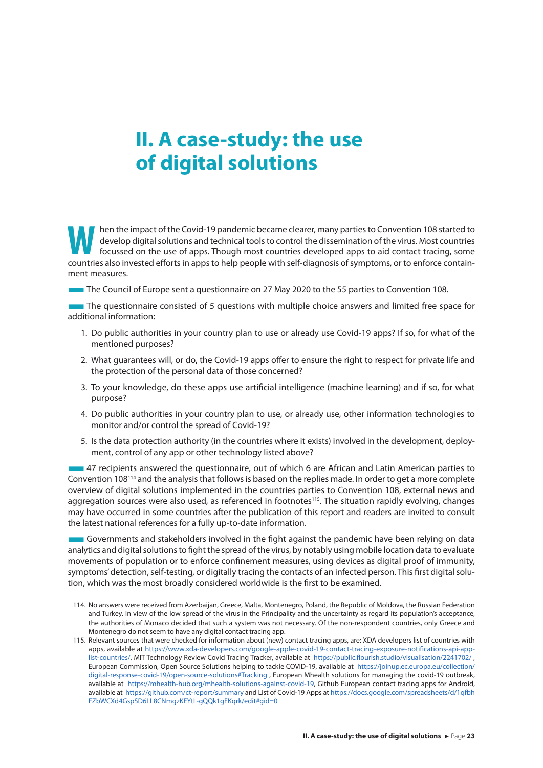## <span id="page-23-0"></span>**II. A case-study: the use of digital solutions**

**Warehoused on the impact of the Covid-19 pandemic became clearer, many parties to Convention 108 started to develop digital solutions and technical tools to control the dissemination of the virus. Most countries focussed** develop digital solutions and technical tools to control the dissemination of the virus. Most countries countries also invested efforts in apps to help people with self-diagnosis of symptoms, or to enforce containment measures.

■The Council of Europe sent a questionnaire on 27 May 2020 to the 55 parties to Convention 108.

■The questionnaire consisted of 5 questions with multiple choice answers and limited free space for additional information:

- 1. Do public authorities in your country plan to use or already use Covid-19 apps? If so, for what of the mentioned purposes?
- 2. What guarantees will, or do, the Covid-19 apps offer to ensure the right to respect for private life and the protection of the personal data of those concerned?
- 3. To your knowledge, do these apps use artificial intelligence (machine learning) and if so, for what purpose?
- 4. Do public authorities in your country plan to use, or already use, other information technologies to monitor and/or control the spread of Covid-19?
- 5. Is the data protection authority (in the countries where it exists) involved in the development, deployment, control of any app or other technology listed above?

■47 recipients answered the questionnaire, out of which 6 are African and Latin American parties to Convention 108114 and the analysis that follows is based on the replies made. In order to get a more complete overview of digital solutions implemented in the countries parties to Convention 108, external news and aggregation sources were also used, as referenced in footnotes<sup>115</sup>. The situation rapidly evolving, changes may have occurred in some countries after the publication of this report and readers are invited to consult the latest national references for a fully up-to-date information.

■Governments and stakeholders involved in the fight against the pandemic have been relying on data analytics and digital solutions to fight the spread of the virus, by notably using mobile location data to evaluate movements of population or to enforce confinement measures, using devices as digital proof of immunity, symptoms' detection, self-testing, or digitally tracing the contacts of an infected person. This first digital solution, which was the most broadly considered worldwide is the first to be examined.

<sup>114.</sup> No answers were received from Azerbaijan, Greece, Malta, Montenegro, Poland, the Republic of Moldova, the Russian Federation and Turkey. In view of the low spread of the virus in the Principality and the uncertainty as regard its population's acceptance, the authorities of Monaco decided that such a system was not necessary. Of the non-respondent countries, only Greece and Montenegro do not seem to have any digital contact tracing app.

<sup>115.</sup> Relevant sources that were checked for information about (new) contact tracing apps, are: XDA developers list of countries with apps, available at [https://www.xda-developers.com/google-apple-covid-19-contact-tracing-exposure-notifications-api-app](https://www.xda-developers.com/google-apple-covid-19-contact-tracing-exposure-notifications-api-app-list-countries/)[list-countries/](https://www.xda-developers.com/google-apple-covid-19-contact-tracing-exposure-notifications-api-app-list-countries/), MIT Technology Review Covid Tracing Tracker, available at <https://public.flourish.studio/visualisation/2241702/> , European Commission, Open Source Solutions helping to tackle COVID-19, available at [https://joinup.ec.europa.eu/collection/](https://joinup.ec.europa.eu/collection/digital-response-covid-19/open-source-solutions#Tracking) [digital-response-covid-19/open-source-solutions#Tracking](https://joinup.ec.europa.eu/collection/digital-response-covid-19/open-source-solutions#Tracking) , European Mhealth solutions for managing the covid-19 outbreak, available at <https://mhealth-hub.org/mhealth-solutions-against-covid-19>, Github European contact tracing apps for Android, available at <https://github.com/ct-report/summary> and List of Covid-19 Apps at [https://docs.google.com/spreadsheets/d/1qfbh](https://docs.google.com/spreadsheets/d/1qfbhFZbWCXd4GspSD6LL8CNmgzKEYtL-gQQk1gEKqrk/edit#gid=0) [FZbWCXd4GspSD6LL8CNmgzKEYtL-gQQk1gEKqrk/edit#gid=0](https://docs.google.com/spreadsheets/d/1qfbhFZbWCXd4GspSD6LL8CNmgzKEYtL-gQQk1gEKqrk/edit#gid=0)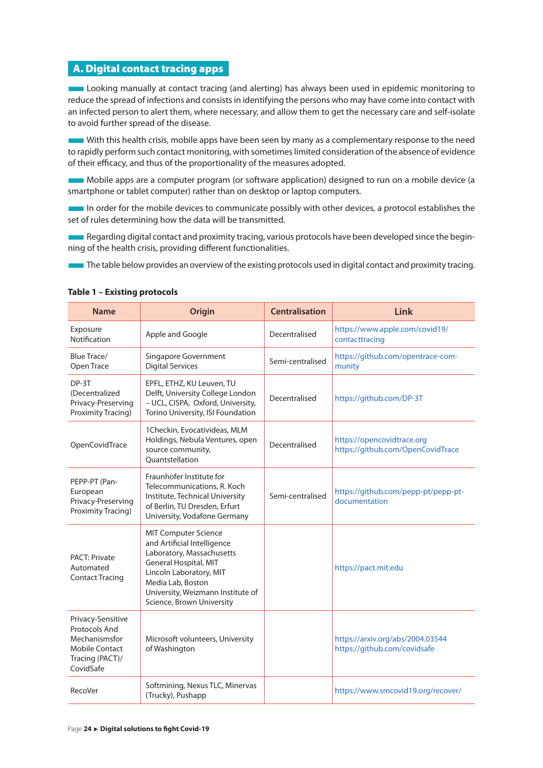### <span id="page-24-0"></span>A. Digital contact tracing apps

**Looking manually at contact tracing (and alerting) has always been used in epidemic monitoring to** reduce the spread of infections and consists in identifying the persons who may have come into contact with an infected person to alert them, where necessary, and allow them to get the necessary care and self-isolate to avoid further spread of the disease.

■With this health crisis, mobile apps have been seen by many as a complementary response to the need to rapidly perform such contact monitoring, with sometimes limited consideration of the absence of evidence of their efficacy, and thus of the proportionality of the measures adopted.

■Mobile apps are a computer program (or software application) designed to run on a mobile device (a smartphone or tablet computer) rather than on desktop or laptop computers.

In order for the mobile devices to communicate possibly with other devices, a protocol establishes the set of rules determining how the data will be transmitted.

**EXECUTE ARE ARE ARE ASSESSED AS A REGARDANT CONTACT A REGARDANT CONTACT A REGARDANT CONTACT A REGARDANT CONTACT** ning of the health crisis, providing different functionalities.

The table below provides an overview of the existing protocols used in digital contact and proximity tracing.

| <b>Name</b>                                                                                           | <b>Origin</b>                                                                                                                                                                                                                      | <b>Centralisation</b> | Link                                                             |
|-------------------------------------------------------------------------------------------------------|------------------------------------------------------------------------------------------------------------------------------------------------------------------------------------------------------------------------------------|-----------------------|------------------------------------------------------------------|
| Exposure<br>Notification                                                                              | Apple and Google                                                                                                                                                                                                                   | Decentralised         | https://www.apple.com/covid19/<br>contacttracing                 |
| <b>Blue Trace/</b><br>Open Trace                                                                      | Singapore Government<br><b>Digital Services</b>                                                                                                                                                                                    | Semi-centralised      | https://github.com/opentrace-com-<br>munity                      |
| DP-3T<br>(Decentralized<br>Privacy-Preserving<br>Proximity Tracing)                                   | EPFL, ETHZ, KU Leuven, TU<br>Delft, University College London<br>- UCL, CISPA, Oxford, University,<br>Torino University, ISI Foundation                                                                                            | Decentralised         | https://github.com/DP-3T                                         |
| OpenCovidTrace                                                                                        | 1Checkin, Evocativideas, MLM<br>Holdings, Nebula Ventures, open<br>source community,<br>Ouantstellation                                                                                                                            | Decentralised         | https://opencovidtrace.org<br>https://github.com/OpenCovidTrace  |
| PEPP-PT (Pan-<br>European<br>Privacy-Preserving<br>Proximity Tracing)                                 | Fraunhofer Institute for<br>Telecommunications, R. Koch<br>Institute, Technical University<br>of Berlin, TU Dresden, Erfurt<br>University, Vodafone Germany                                                                        | Semi-centralised      | https://github.com/pepp-pt/pepp-pt-<br>documentation             |
| <b>PACT: Private</b><br>Automated<br><b>Contact Tracing</b>                                           | <b>MIT Computer Science</b><br>and Artificial Intelligence<br>Laboratory, Massachusetts<br>General Hospital, MIT<br>Lincoln Laboratory, MIT<br>Media Lab, Boston<br>University, Weizmann Institute of<br>Science, Brown University |                       | https://pact.mit.edu                                             |
| Privacy-Sensitive<br>Protocols And<br>Mechanismsfor<br>Mobile Contact<br>Tracing (PACT)/<br>CovidSafe | Microsoft volunteers, University<br>of Washington                                                                                                                                                                                  |                       | https://arxiv.org/abs/2004.03544<br>https://github.com/covidsafe |
| RecoVer                                                                                               | Softmining, Nexus TLC, Minervas<br>(Trucky), Pushapp                                                                                                                                                                               |                       | https://www.smcovid19.org/recover/                               |

#### **Table 1 – Existing protocols**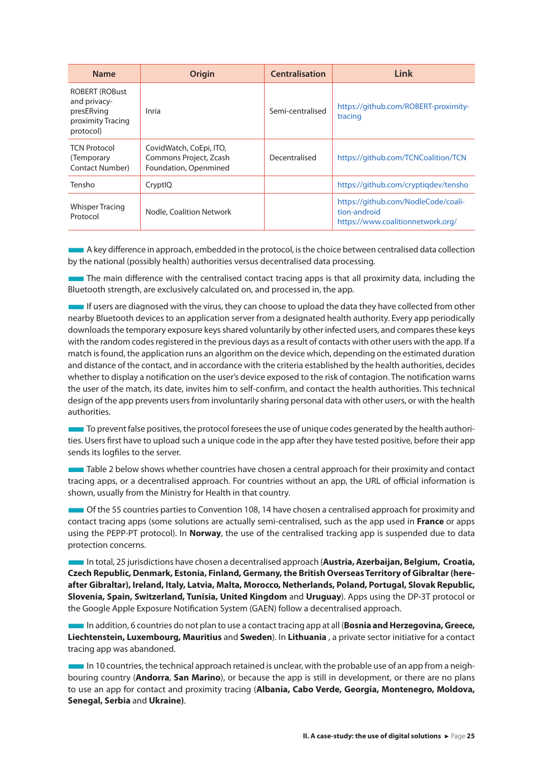| <b>Name</b>                                                                           | Origin                                                                     | <b>Centralisation</b> | Link                                                                                     |
|---------------------------------------------------------------------------------------|----------------------------------------------------------------------------|-----------------------|------------------------------------------------------------------------------------------|
| <b>ROBERT (ROBust</b><br>and privacy-<br>presERving<br>proximity Tracing<br>protocol) | Inria                                                                      | Semi-centralised      | https://github.com/ROBERT-proximity-<br>tracing                                          |
| <b>TCN Protocol</b><br>(Temporary<br><b>Contact Number</b> )                          | CovidWatch, CoEpi, ITO,<br>Commons Project, Zcash<br>Foundation, Openmined | Decentralised         | https://github.com/TCNCoalition/TCN                                                      |
| Tensho                                                                                | CryptIQ                                                                    |                       | https://github.com/cryptigdev/tensho                                                     |
| Whisper Tracing<br>Protocol                                                           | Nodle, Coalition Network                                                   |                       | https://github.com/NodleCode/coali-<br>tion-android<br>https://www.coalitionnetwork.org/ |

■A key difference in approach, embedded in the protocol, is the choice between centralised data collection by the national (possibly health) authorities versus decentralised data processing.

**The main difference with the centralised contact tracing apps is that all proximity data, including the** Bluetooth strength, are exclusively calculated on, and processed in, the app.

■If users are diagnosed with the virus, they can choose to upload the data they have collected from other nearby Bluetooth devices to an application server from a designated health authority. Every app periodically downloads the temporary exposure keys shared voluntarily by other infected users, and compares these keys with the random codes registered in the previous days as a result of contacts with other users with the app. If a match is found, the application runs an algorithm on the device which, depending on the estimated duration and distance of the contact, and in accordance with the criteria established by the health authorities, decides whether to display a notification on the user's device exposed to the risk of contagion. The notification warns the user of the match, its date, invites him to self-confirm, and contact the health authorities. This technical design of the app prevents users from involuntarily sharing personal data with other users, or with the health authorities.

■To prevent false positives, the protocol foresees the use of unique codes generated by the health authorities. Users first have to upload such a unique code in the app after they have tested positive, before their app sends its logfiles to the server.

■Table 2 below shows whether countries have chosen a central approach for their proximity and contact tracing apps, or a decentralised approach. For countries without an app, the URL of official information is shown, usually from the Ministry for Health in that country.

**The State of the 55 countries parties to Convention 108, 14 have chosen a centralised approach for proximity and** contact tracing apps (some solutions are actually semi-centralised, such as the app used in **France** or apps using the PEPP-PT protocol). In **Norway**, the use of the centralised tracking app is suspended due to data protection concerns.

■In total, 25 jurisdictions have chosen a decentralised approach (**Austria, Azerbaijan, Belgium, Croatia, Czech Republic, Denmark, Estonia, Finland, Germany, the British Overseas Territory of Gibraltar (hereafter Gibraltar), Ireland, Italy, Latvia, Malta, Morocco, Netherlands, Poland, Portugal, Slovak Republic, Slovenia, Spain, Switzerland, Tunisia, United Kingdom** and **Uruguay**). Apps using the DP-3T protocol or the Google Apple Exposure Notification System (GAEN) follow a decentralised approach.

■In addition, 6 countries do not plan to use a contact tracing app at all (**Bosnia and Herzegovina, Greece, Liechtenstein, Luxembourg, Mauritius** and **Sweden**). In **Lithuania** , a private sector initiative for a contact tracing app was abandoned.

■In 10 countries, the technical approach retained is unclear, with the probable use of an app from a neighbouring country (**Andorra**, **San Marino**), or because the app is still in development, or there are no plans to use an app for contact and proximity tracing (**Albania, Cabo Verde, Georgia, Montenegro, Moldova, Senegal, Serbia** and **Ukraine)**.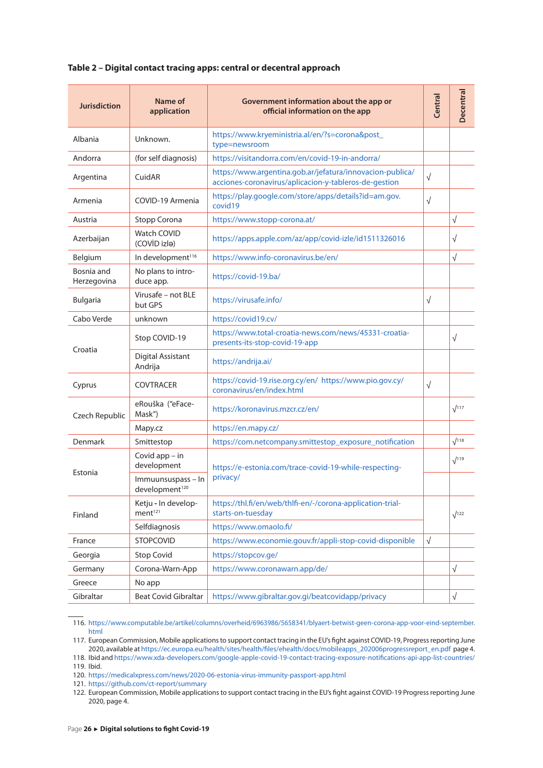| <b>Jurisdiction</b>       | Name of<br>application                           | Government information about the app or<br>official information on the app                                         | Central    | Decentral    |
|---------------------------|--------------------------------------------------|--------------------------------------------------------------------------------------------------------------------|------------|--------------|
| Albania                   | Unknown.                                         | https://www.kryeministria.al/en/?s=corona&post_<br>type=newsroom                                                   |            |              |
| Andorra                   | (for self diagnosis)                             | https://visitandorra.com/en/covid-19-in-andorra/                                                                   |            |              |
| Argentina                 | CuidAR                                           | https://www.argentina.gob.ar/jefatura/innovacion-publica/<br>acciones-coronavirus/aplicacion-y-tableros-de-gestion | $\sqrt{ }$ |              |
| Armenia                   | COVID-19 Armenia                                 | https://play.google.com/store/apps/details?id=am.gov.<br>covid19                                                   | $\sqrt{ }$ |              |
| Austria                   | Stopp Corona                                     | https://www.stopp-corona.at/                                                                                       |            | $\sqrt{ }$   |
| Azerbaijan                | Watch COVID<br>(COVID izla)                      | https://apps.apple.com/az/app/covid-izle/id1511326016                                                              |            | $\sqrt{}$    |
| Belgium                   | In development <sup>116</sup>                    | https://www.info-coronavirus.be/en/                                                                                |            | $\sqrt{ }$   |
| Bosnia and<br>Herzegovina | No plans to intro-<br>duce app.                  | https://covid-19.ba/                                                                                               |            |              |
| <b>Bulgaria</b>           | Virusafe - not BLE<br>but GPS                    | https://virusafe.info/                                                                                             | $\sqrt{ }$ |              |
| Cabo Verde                | unknown                                          | https://covid19.cv/                                                                                                |            |              |
|                           | Stop COVID-19                                    | https://www.total-croatia-news.com/news/45331-croatia-<br>presents-its-stop-covid-19-app                           |            | $\sqrt{ }$   |
| Croatia                   | Digital Assistant<br>Andrija                     | https://andrija.ai/                                                                                                |            |              |
| Cyprus                    | <b>COVTRACER</b>                                 | https://covid-19.rise.org.cy/en/ https://www.pio.gov.cy/<br>coronavirus/en/index.html                              | $\sqrt{ }$ |              |
| Czech Republic            | eRouška ("eFace-<br>Mask")                       | https://koronavirus.mzcr.cz/en/                                                                                    |            | $\sqrt{117}$ |
|                           | Mapy.cz                                          | https://en.mapy.cz/                                                                                                |            |              |
| Denmark                   | Smittestop                                       | https://com.netcompany.smittestop_exposure_notification                                                            |            | $\sqrt{118}$ |
|                           | Covid $app - in$<br>development                  | https://e-estonia.com/trace-covid-19-while-respecting-<br>privacy/                                                 |            | $\sqrt{119}$ |
| Estonia                   | Immuunsuspass - In<br>development <sup>120</sup> |                                                                                                                    |            |              |
| Finland                   | Ketju - In develop-<br>ment <sup>121</sup>       | https://thl.fi/en/web/thlfi-en/-/corona-application-trial-<br>starts-on-tuesday                                    |            | $\sqrt{122}$ |
|                           | Selfdiagnosis                                    | https://www.omaolo.fi/                                                                                             |            |              |
| France                    | <b>STOPCOVID</b>                                 | https://www.economie.gouv.fr/appli-stop-covid-disponible                                                           | $\sqrt{}$  |              |
| Georgia                   | <b>Stop Covid</b>                                | https://stopcov.ge/                                                                                                |            |              |
| Germany                   | Corona-Warn-App                                  | https://www.coronawarn.app/de/                                                                                     |            | $\sqrt{ }$   |
| Greece                    | No app                                           |                                                                                                                    |            |              |
| Gibraltar                 | <b>Beat Covid Gibraltar</b>                      | https://www.gibraltar.gov.gi/beatcovidapp/privacy                                                                  |            | $\sqrt{ }$   |

#### **Table 2 – Digital contact tracing apps: central or decentral approach**

118. Ibid and<https://www.xda-developers.com/google-apple-covid-19-contact-tracing-exposure-notifications-api-app-list-countries/> 119. Ibid.

120. <https://medicalxpress.com/news/2020-06-estonia-virus-immunity-passport-app.html>

121. <https://github.com/ct-report/summary>

122. European Commission, Mobile applications to support contact tracing in the EU's fight against COVID-19 Progress reporting June 2020, page 4.

<sup>116.</sup> [https://www.computable.be/artikel/columns/overheid/6963986/5658341/blyaert-betwist-geen-corona-app-voor-eind-september.](https://www.computable.be/artikel/columns/overheid/6963986/5658341/blyaert-betwist-geen-corona-app-voor-eind-september.html) [html](https://www.computable.be/artikel/columns/overheid/6963986/5658341/blyaert-betwist-geen-corona-app-voor-eind-september.html) 

<sup>117.</sup> European Commission, Mobile applications to support contact tracing in the EU's fight against COVID-19, Progress reporting June 2020, available at [https://ec.europa.eu/health/sites/health/files/ehealth/docs/mobileapps\\_202006progressreport\\_en.pdf](https://ec.europa.eu/health/sites/health/files/ehealth/docs/mobileapps_202006progressreport_en.pdf) page 4.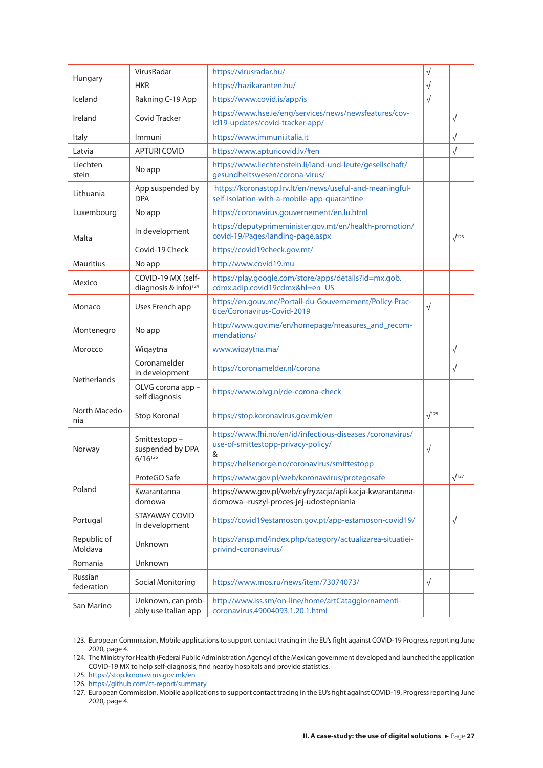| Hungary                | VirusRadar                                             | https://virusradar.hu/                                                                                                                                | $\sqrt{}$    |              |
|------------------------|--------------------------------------------------------|-------------------------------------------------------------------------------------------------------------------------------------------------------|--------------|--------------|
|                        | <b>HKR</b>                                             | https://hazikaranten.hu/                                                                                                                              |              |              |
| Iceland                | Rakning C-19 App                                       | https://www.covid.is/app/is                                                                                                                           | $\sqrt{}$    |              |
| Ireland                | Covid Tracker                                          | https://www.hse.ie/eng/services/news/newsfeatures/cov-<br>id19-updates/covid-tracker-app/                                                             |              | $\sqrt{ }$   |
| Italy                  | Immuni                                                 | https://www.immuni.italia.it                                                                                                                          |              | $\sqrt{}$    |
| Latvia                 | <b>APTURI COVID</b>                                    | https://www.apturicovid.lv/#en                                                                                                                        |              | $\sqrt{ }$   |
| Liechten<br>stein      | No app                                                 | https://www.liechtenstein.li/land-und-leute/gesellschaft/<br>gesundheitswesen/corona-virus/                                                           |              |              |
| Lithuania              | App suspended by<br><b>DPA</b>                         | https://koronastop.lrv.lt/en/news/useful-and-meaningful-<br>self-isolation-with-a-mobile-app-quarantine                                               |              |              |
| Luxembourg             | No app                                                 | https://coronavirus.gouvernement/en.lu.html                                                                                                           |              |              |
| Malta                  | In development                                         | https://deputyprimeminister.gov.mt/en/health-promotion/<br>covid-19/Pages/landing-page.aspx                                                           |              | $\sqrt{123}$ |
|                        | Covid-19 Check                                         | https://covid19check.gov.mt/                                                                                                                          |              |              |
| <b>Mauritius</b>       | No app                                                 | http://www.covid19.mu                                                                                                                                 |              |              |
| Mexico                 | COVID-19 MX (self-<br>diagnosis & info) <sup>124</sup> | https://play.google.com/store/apps/details?id=mx.gob.<br>cdmx.adip.covid19cdmx&hl=en_US                                                               |              |              |
| Monaco                 | Uses French app                                        | https://en.gouv.mc/Portail-du-Gouvernement/Policy-Prac-<br>tice/Coronavirus-Covid-2019                                                                | $\sqrt{}$    |              |
| Montenegro             | No app                                                 | http://www.gov.me/en/homepage/measures_and_recom-<br>mendations/                                                                                      |              |              |
| Morocco                | Wiqaytna                                               | www.wiqaytna.ma/                                                                                                                                      |              | $\sqrt{ }$   |
|                        | Coronamelder<br>in development                         | https://coronamelder.nl/corona                                                                                                                        |              | $\sqrt{ }$   |
| <b>Netherlands</b>     | OLVG corona app -<br>self diagnosis                    | https://www.olvg.nl/de-corona-check                                                                                                                   |              |              |
| North Macedo-<br>nia   | Stop Korona!                                           | https://stop.koronavirus.gov.mk/en                                                                                                                    | $\sqrt{125}$ |              |
| Norway                 | Smittestopp-<br>suspended by DPA<br>$6/16^{126}$       | https://www.fhi.no/en/id/infectious-diseases/coronavirus/<br>use-of-smittestopp-privacy-policy/<br>&<br>https://helsenorge.no/coronavirus/smittestopp | $\sqrt{}$    |              |
|                        | ProteGO Safe                                           | https://www.gov.pl/web/koronawirus/protegosafe                                                                                                        |              | $\sqrt{127}$ |
| Poland                 | Kwarantanna<br>domowa                                  | https://www.gov.pl/web/cyfryzacja/aplikacja-kwarantanna-<br>domowa--ruszyl-proces-jej-udostepniania                                                   |              |              |
| Portugal               | STAYAWAY COVID<br>In development                       | https://covid19estamoson.gov.pt/app-estamoson-covid19/                                                                                                |              | $\sqrt{ }$   |
| Republic of<br>Moldava | Unknown                                                | https://ansp.md/index.php/category/actualizarea-situatiei-<br>privind-coronavirus/                                                                    |              |              |
| Romania                | Unknown                                                |                                                                                                                                                       |              |              |
| Russian<br>federation  | Social Monitoring                                      | https://www.mos.ru/news/item/73074073/                                                                                                                | $\sqrt{}$    |              |
| San Marino             | Unknown, can prob-<br>ably use Italian app             | http://www.iss.sm/on-line/home/artCataggiornamenti-<br>coronavirus.49004093.1.20.1.html                                                               |              |              |

<sup>123.</sup> European Commission, Mobile applications to support contact tracing in the EU's fight against COVID-19 Progress reporting June 2020, page 4.

<sup>124.</sup> The Ministry for Health (Federal Public Administration Agency) of the Mexican government developed and launched the application COVID-19 MX to help self-diagnosis, find nearby hospitals and provide statistics.

<sup>125.</sup> <https://stop.koronavirus.gov.mk/en>

<sup>126.</sup> <https://github.com/ct-report/summary>

<sup>127.</sup> European Commission, Mobile applications to support contact tracing in the EU's fight against COVID-19, Progress reporting June 2020, page 4.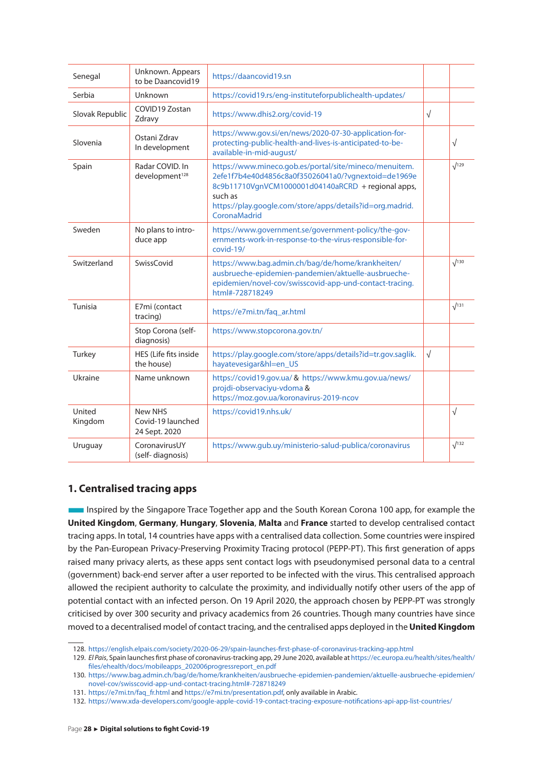<span id="page-28-0"></span>

| Senegal           | Unknown. Appears<br>to be Daancovid19         | https://daancovid19.sn                                                                                                                                                                                                                                      |            |              |
|-------------------|-----------------------------------------------|-------------------------------------------------------------------------------------------------------------------------------------------------------------------------------------------------------------------------------------------------------------|------------|--------------|
| Serbia            | Unknown                                       | https://covid19.rs/eng-instituteforpublichealth-updates/                                                                                                                                                                                                    |            |              |
| Slovak Republic   | COVID19 Zostan<br>Zdravy                      | https://www.dhis2.org/covid-19                                                                                                                                                                                                                              | $\sqrt{ }$ |              |
| Slovenia          | Ostani Zdrav<br>In development                | https://www.gov.si/en/news/2020-07-30-application-for-<br>protecting-public-health-and-lives-is-anticipated-to-be-<br>available-in-mid-august/                                                                                                              |            | $\sqrt{ }$   |
| Spain             | Radar COVID. In<br>development <sup>128</sup> | https://www.mineco.gob.es/portal/site/mineco/menuitem.<br>2efe1f7b4e40d4856c8a0f35026041a0/?vgnextoid=de1969e<br>8c9b11710VgnVCM1000001d04140aRCRD + regional apps,<br>such as<br>https://play.google.com/store/apps/details?id=org.madrid.<br>CoronaMadrid |            | $\sqrt{129}$ |
| Sweden            | No plans to intro-<br>duce app                | https://www.government.se/government-policy/the-gov-<br>ernments-work-in-response-to-the-virus-responsible-for-<br>covid-19/                                                                                                                                |            |              |
| Switzerland       | SwissCovid                                    | https://www.bag.admin.ch/bag/de/home/krankheiten/<br>ausbrueche-epidemien-pandemien/aktuelle-ausbrueche-<br>epidemien/novel-cov/swisscovid-app-und-contact-tracing.<br>html#-728718249                                                                      |            | $\sqrt{130}$ |
| Tunisia           | E7mi (contact<br>tracing)                     | https://e7mi.tn/faq_ar.html                                                                                                                                                                                                                                 |            | $\sqrt{131}$ |
|                   | Stop Corona (self-<br>diagnosis)              | https://www.stopcorona.gov.tn/                                                                                                                                                                                                                              |            |              |
| Turkey            | HES (Life fits inside<br>the house)           | https://play.google.com/store/apps/details?id=tr.gov.saglik.<br>hayatevesigar&hl=en_US                                                                                                                                                                      | $\sqrt{ }$ |              |
| Ukraine           | Name unknown                                  | https://covid19.gov.ua/ & https://www.kmu.gov.ua/news/<br>projdi-observaciyu-vdoma &<br>https://moz.gov.ua/koronavirus-2019-ncov                                                                                                                            |            |              |
| United<br>Kingdom | New NHS<br>Covid-19 launched<br>24 Sept. 2020 | https://covid19.nhs.uk/                                                                                                                                                                                                                                     |            | $\sqrt{ }$   |
| Uruguay           | CoronavirusUY<br>(self-diagnosis)             | https://www.gub.uy/ministerio-salud-publica/coronavirus                                                                                                                                                                                                     |            | $\sqrt{132}$ |

#### **1. Centralised tracing apps**

■Inspired by the Singapore Trace Together app and the South Korean Corona 100 app, for example the **United Kingdom**, **Germany**, **Hungary**, **Slovenia**, **Malta** and **France** started to develop centralised contact tracing apps. In total, 14 countries have apps with a centralised data collection. Some countries were inspired by the Pan-European Privacy-Preserving Proximity Tracing protocol (PEPP-PT). This first generation of apps raised many privacy alerts, as these apps sent contact logs with pseudonymised personal data to a central (government) back-end server after a user reported to be infected with the virus. This centralised approach allowed the recipient authority to calculate the proximity, and individually notify other users of the app of potential contact with an infected person. On 19 April 2020, the approach chosen by PEPP-PT was strongly criticised by over 300 security and privacy academics from 26 countries. Though many countries have since moved to a decentralised model of contact tracing, and the centralised apps deployed in the **United Kingdom**

<sup>128.</sup> <https://english.elpais.com/society/2020-06-29/spain-launches-first-phase-of-coronavirus-tracking-app.html>

<sup>129.</sup> *El Pais*, Spain launches first phase of coronavirus-tracking app, 29 June 2020, available at [https://ec.europa.eu/health/sites/health/](https://ec.europa.eu/health/sites/health/files/ehealth/docs/mobileapps_202006progressreport_en.pdf) [files/ehealth/docs/mobileapps\\_202006progressreport\\_en.pdf](https://ec.europa.eu/health/sites/health/files/ehealth/docs/mobileapps_202006progressreport_en.pdf)

<sup>130.</sup> [https://www.bag.admin.ch/bag/de/home/krankheiten/ausbrueche-epidemien-pandemien/aktuelle-ausbrueche-epidemien/](https://www.bag.admin.ch/bag/de/home/krankheiten/ausbrueche-epidemien-pandemien/aktuelle-ausbrueche-epidemien/novel-cov/swisscovid-app-und-contact-tracing.html#-728718249) [novel-cov/swisscovid-app-und-contact-tracing.html#-728718249](https://www.bag.admin.ch/bag/de/home/krankheiten/ausbrueche-epidemien-pandemien/aktuelle-ausbrueche-epidemien/novel-cov/swisscovid-app-und-contact-tracing.html#-728718249)

<sup>131.</sup> [https://e7mi.tn/faq\\_fr.html](https://e7mi.tn/faq_fr.html) and<https://e7mi.tn/presentation.pdf>, only available in Arabic.

<sup>132.</sup> <https://www.xda-developers.com/google-apple-covid-19-contact-tracing-exposure-notifications-api-app-list-countries/>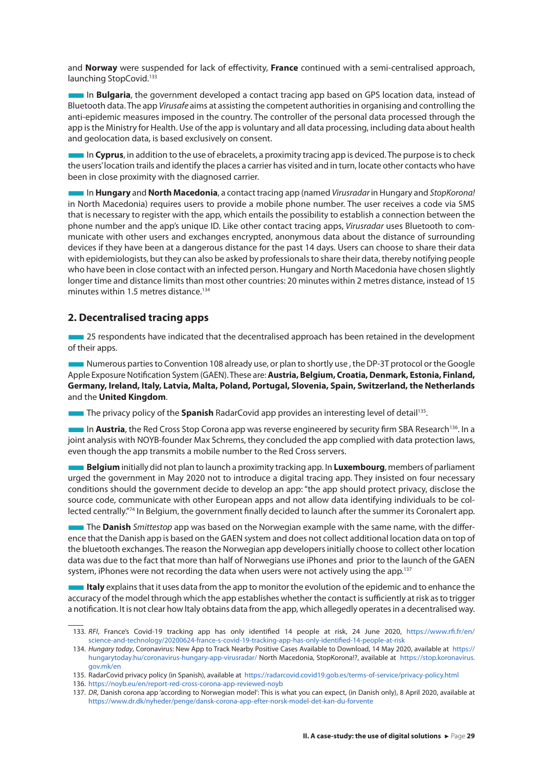<span id="page-29-0"></span>and **Norway** were suspended for lack of effectivity, **France** continued with a semi-centralised approach, launching StopCovid.<sup>133</sup>

■In **Bulgaria**, the government developed a contact tracing app based on GPS location data, instead of Bluetooth data. The app *Virusafe* aims at assisting the competent authorities in organising and controlling the anti-epidemic measures imposed in the country. The controller of the personal data processed through the app is the Ministry for Health. Use of the app is voluntary and all data processing, including data about health and geolocation data, is based exclusively on consent.

■In **Cyprus**, in addition to the use of ebracelets, a proximity tracing app is deviced. The purpose is to check the users' location trails and identify the places a carrier has visited and in turn, locate other contacts who have been in close proximity with the diagnosed carrier.

■In **Hungary** and **North Macedonia**, a contact tracing app (named *Virusradar* in Hungary and *StopKorona!* in North Macedonia) requires users to provide a mobile phone number. The user receives a code via SMS that is necessary to register with the app, which entails the possibility to establish a connection between the phone number and the app's unique ID. Like other contact tracing apps, *Virusradar* uses Bluetooth to communicate with other users and exchanges encrypted, anonymous data about the distance of surrounding devices if they have been at a dangerous distance for the past 14 days. Users can choose to share their data with epidemiologists, but they can also be asked by professionals to share their data, thereby notifying people who have been in close contact with an infected person. Hungary and North Macedonia have chosen slightly longer time and distance limits than most other countries: 20 minutes within 2 metres distance, instead of 15 minutes within 1.5 metres distance.<sup>134</sup>

#### **2. Decentralised tracing apps**

**■ 25 respondents have indicated that the decentralised approach has been retained in the development** of their apps.

■Numerous parties to Convention 108 already use, or plan to shortly use , the DP-3T protocol or the Google Apple Exposure Notification System (GAEN). These are: **Austria, Belgium, Croatia, Denmark, Estonia, Finland, Germany, Ireland, Italy, Latvia, Malta, Poland, Portugal, Slovenia, Spain, Switzerland, the Netherlands** and the **United Kingdom**.

**The privacy policy of the Spanish RadarCovid app provides an interesting level of detail<sup>135</sup>.** 

■ In **Austria**, the Red Cross Stop Corona app was reverse engineered by security firm SBA Research<sup>136</sup>. In a joint analysis with NOYB-founder Max Schrems, they concluded the app complied with data protection laws, even though the app transmits a mobile number to the Red Cross servers.

■**Belgium** initially did not plan to launch a proximity tracking app. In **Luxembourg**, members of parliament urged the government in May 2020 not to introduce a digital tracing app. They insisted on four necessary conditions should the government decide to develop an app: "the app should protect privacy, disclose the source code, communicate with other European apps and not allow data identifying individuals to be collected centrally."74 In Belgium, the government finally decided to launch after the summer its Coronalert app.

■The **Danish** *Smittestop* app was based on the Norwegian example with the same name, with the difference that the Danish app is based on the GAEN system and does not collect additional location data on top of the bluetooth exchanges. The reason the Norwegian app developers initially choose to collect other location data was due to the fact that more than half of Norwegians use iPhones and prior to the launch of the GAEN system, iPhones were not recording the data when users were not actively using the app.<sup>137</sup>

**Italy** explains that it uses data from the app to monitor the evolution of the epidemic and to enhance the accuracy of the model through which the app establishes whether the contact is sufficiently at risk as to trigger a notification. It is not clear how Italy obtains data from the app, which allegedly operates in a decentralised way.

<sup>133.</sup> *RFI*, France's Covid-19 tracking app has only identified 14 people at risk, 24 June 2020, [https://www.rfi.fr/en/](https://www.rfi.fr/en/science-and-technology/20200624-france-s-covid-19-tracking-app-has-only-identified-14-people-at-risk) [science-and-technology/20200624-france-s-covid-19-tracking-app-has-only-identified-14-people-at-risk](https://www.rfi.fr/en/science-and-technology/20200624-france-s-covid-19-tracking-app-has-only-identified-14-people-at-risk)

<sup>134.</sup> *Hungary today*, Coronavirus: New App to Track Nearby Positive Cases Available to Download, 14 May 2020, available at [https://](https://hungarytoday.hu/coronavirus-hungary-app-virusradar/) [hungarytoday.hu/coronavirus-hungary-app-virusradar/](https://hungarytoday.hu/coronavirus-hungary-app-virusradar/) North Macedonia, StopKorona!?, available at [https://stop.koronavirus.](https://stop.koronavirus.gov.mk/en) [gov.mk/en](https://stop.koronavirus.gov.mk/en)

<sup>135.</sup> RadarCovid privacy policy (in Spanish), available at <https://radarcovid.covid19.gob.es/terms-of-service/privacy-policy.html>

<sup>136.</sup> <https://noyb.eu/en/report-red-cross-corona-app-reviewed-noyb>

<sup>137.</sup> *DR*, Danish corona app 'according to Norwegian model': This is what you can expect, (in Danish only), 8 April 2020, available at <https://www.dr.dk/nyheder/penge/dansk-corona-app-efter-norsk-model-det-kan-du-forvente>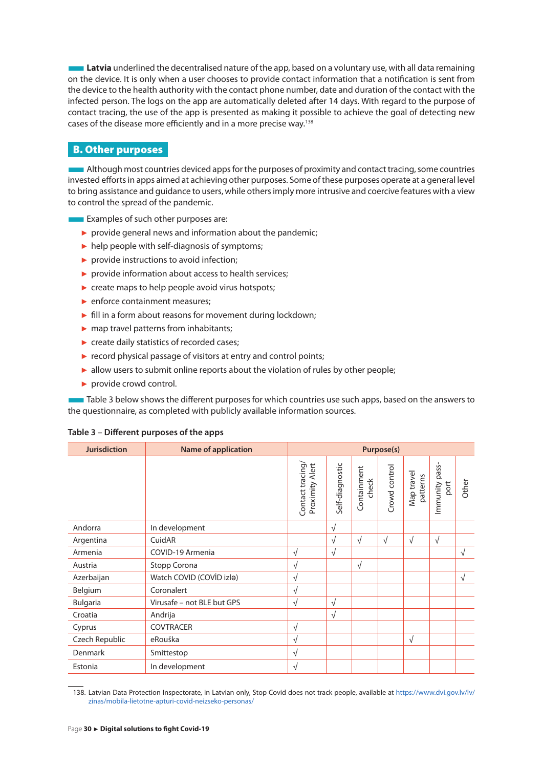<span id="page-30-0"></span>■**Latvia** underlined the decentralised nature of the app, based on a voluntary use, with all data remaining on the device. It is only when a user chooses to provide contact information that a notification is sent from the device to the health authority with the contact phone number, date and duration of the contact with the infected person. The logs on the app are automatically deleted after 14 days. With regard to the purpose of contact tracing, the use of the app is presented as making it possible to achieve the goal of detecting new cases of the disease more efficiently and in a more precise way.138

### B. Other purposes

**Although most countries deviced apps for the purposes of proximity and contact tracing, some countries** invested efforts in apps aimed at achieving other purposes. Some of these purposes operate at a general level to bring assistance and guidance to users, while others imply more intrusive and coercive features with a view to control the spread of the pandemic.

**Examples of such other purposes are:** 

- $\triangleright$  provide general news and information about the pandemic;
- $\blacktriangleright$  help people with self-diagnosis of symptoms;
- ► provide instructions to avoid infection;
- ► provide information about access to health services;
- $\triangleright$  create maps to help people avoid virus hotspots;
- ► enforce containment measures;
- ► fill in a form about reasons for movement during lockdown;
- ► map travel patterns from inhabitants;
- ► create daily statistics of recorded cases;
- ► record physical passage of visitors at entry and control points;
- ► allow users to submit online reports about the violation of rules by other people;
- ► provide crowd control.

■ Table 3 below shows the different purposes for which countries use such apps, based on the answers to the questionnaire, as completed with publicly available information sources.

#### **Table 3 – Different purposes of the apps**

| <b>Jurisdiction</b> | <b>Name of application</b> | Purpose(s)                          |                 |                      |               |                        |                        |            |
|---------------------|----------------------------|-------------------------------------|-----------------|----------------------|---------------|------------------------|------------------------|------------|
|                     |                            | Contact tracing/<br>Proximity Alert | Self-diagnostic | Containment<br>check | Crowd control | Map travel<br>patterns | Immunity pass-<br>port | Other      |
| Andorra             | In development             |                                     | $\sqrt{}$       |                      |               |                        |                        |            |
| Argentina           | CuidAR                     |                                     | $\sqrt{}$       | $\sqrt{ }$           | $\sqrt{ }$    | √                      | $\sqrt{ }$             |            |
| Armenia             | COVID-19 Armenia           | $\sqrt{ }$                          | $\sqrt{ }$      |                      |               |                        |                        | $\sqrt{ }$ |
| Austria             | Stopp Corona               | √                                   |                 | $\sqrt{ }$           |               |                        |                        |            |
| Azerbaijan          | Watch COVID (COVID izla)   | $\sqrt{ }$                          |                 |                      |               |                        |                        | $\sqrt{ }$ |
| Belgium             | Coronalert                 | $\sqrt{ }$                          |                 |                      |               |                        |                        |            |
| <b>Bulgaria</b>     | Virusafe - not BLE but GPS | $\sqrt{ }$                          | $\sqrt{ }$      |                      |               |                        |                        |            |
| Croatia             | Andrija                    |                                     | $\sqrt{ }$      |                      |               |                        |                        |            |
| Cyprus              | <b>COVTRACER</b>           | $\sqrt{ }$                          |                 |                      |               |                        |                        |            |
| Czech Republic      | eRouška                    | $\sqrt{ }$                          |                 |                      |               | √                      |                        |            |
| Denmark             | Smittestop                 | √                                   |                 |                      |               |                        |                        |            |
| Estonia             | In development             | $\sqrt{ }$                          |                 |                      |               |                        |                        |            |

<sup>138.</sup> Latvian Data Protection Inspectorate, in Latvian only, Stop Covid does not track people, available at [https://www.dvi.gov.lv/lv/](https://www.dvi.gov.lv/lv/zinas/mobila-lietotne-apturi-covid-neizseko-personas/) [zinas/mobila-lietotne-apturi-covid-neizseko-personas/](https://www.dvi.gov.lv/lv/zinas/mobila-lietotne-apturi-covid-neizseko-personas/)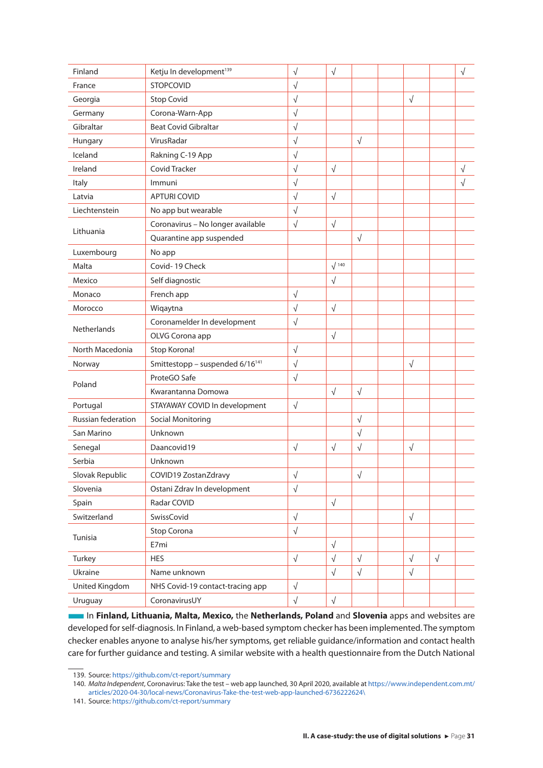| Finland                   | Ketju In development <sup>139</sup>         | $\sqrt{}$  | $\sqrt{}$    |            |            |            | $\sqrt{ }$ |
|---------------------------|---------------------------------------------|------------|--------------|------------|------------|------------|------------|
| France                    | <b>STOPCOVID</b>                            | $\sqrt{}$  |              |            |            |            |            |
| Georgia                   | <b>Stop Covid</b>                           | $\sqrt{ }$ |              |            | $\sqrt{}$  |            |            |
| Germany                   | Corona-Warn-App                             | $\sqrt{}$  |              |            |            |            |            |
| Gibraltar                 | <b>Beat Covid Gibraltar</b>                 | $\sqrt{ }$ |              |            |            |            |            |
| Hungary                   | VirusRadar                                  | $\sqrt{}$  |              | $\sqrt{ }$ |            |            |            |
| Iceland                   | Rakning C-19 App                            | $\sqrt{}$  |              |            |            |            |            |
| Ireland                   | <b>Covid Tracker</b>                        | $\sqrt{}$  | $\sqrt{}$    |            |            |            | $\sqrt{ }$ |
| Italy                     | Immuni                                      | $\sqrt{}$  |              |            |            |            | $\sqrt{}$  |
| Latvia                    | <b>APTURI COVID</b>                         | $\sqrt{}$  | $\sqrt{}$    |            |            |            |            |
| Liechtenstein             | No app but wearable                         | $\sqrt{}$  |              |            |            |            |            |
|                           | Coronavirus - No longer available           | $\sqrt{}$  | $\sqrt{}$    |            |            |            |            |
| Lithuania                 | Quarantine app suspended                    |            |              | $\sqrt{ }$ |            |            |            |
| Luxembourg                | No app                                      |            |              |            |            |            |            |
| Malta                     | Covid-19 Check                              |            | $\sqrt{140}$ |            |            |            |            |
| Mexico                    | Self diagnostic                             |            | $\sqrt{}$    |            |            |            |            |
| Monaco                    | French app                                  | $\sqrt{}$  |              |            |            |            |            |
| Morocco                   | Wiqaytna                                    | $\sqrt{}$  | $\sqrt{}$    |            |            |            |            |
|                           | Coronamelder In development                 | $\sqrt{}$  |              |            |            |            |            |
| <b>Netherlands</b>        | OLVG Corona app                             |            | $\sqrt{}$    |            |            |            |            |
| North Macedonia           | Stop Korona!                                | $\sqrt{}$  |              |            |            |            |            |
| Norway                    | Smittestopp - suspended 6/16 <sup>141</sup> | $\sqrt{}$  |              |            | $\sqrt{ }$ |            |            |
|                           | ProteGO Safe                                | $\sqrt{ }$ |              |            |            |            |            |
| Poland                    | Kwarantanna Domowa                          |            | $\sqrt{}$    | $\sqrt{ }$ |            |            |            |
| Portugal                  | STAYAWAY COVID In development               | $\sqrt{}$  |              |            |            |            |            |
| <b>Russian federation</b> | <b>Social Monitoring</b>                    |            |              | $\sqrt{ }$ |            |            |            |
| San Marino                | Unknown                                     |            |              | $\sqrt{}$  |            |            |            |
| Senegal                   | Daancovid19                                 | $\sqrt{}$  | $\sqrt{}$    | $\sqrt{}$  | $\sqrt{}$  |            |            |
| Serbia                    | Unknown                                     |            |              |            |            |            |            |
| Slovak Republic           | COVID19 ZostanZdravy                        | √          |              | $\sqrt{}$  |            |            |            |
| Slovenia                  | Ostani Zdrav In development                 | $\sqrt{ }$ |              |            |            |            |            |
| Spain                     | Radar COVID                                 |            | $\sqrt{}$    |            |            |            |            |
| Switzerland               | SwissCovid                                  | $\sqrt{ }$ |              |            | $\sqrt{}$  |            |            |
|                           | Stop Corona                                 | $\sqrt{ }$ |              |            |            |            |            |
| Tunisia                   | E7mi                                        |            | $\sqrt{}$    |            |            |            |            |
| Turkey                    | <b>HES</b>                                  | $\sqrt{ }$ | $\sqrt{}$    | $\sqrt{ }$ | $\sqrt{}$  | $\sqrt{ }$ |            |
| Ukraine                   | Name unknown                                |            | $\sqrt{}$    | $\sqrt{}$  | $\sqrt{}$  |            |            |
| United Kingdom            | NHS Covid-19 contact-tracing app            | $\sqrt{}$  |              |            |            |            |            |
| Uruguay                   | CoronavirusUY                               | $\sqrt{}$  | $\sqrt{}$    |            |            |            |            |
|                           |                                             |            |              |            |            |            |            |

■In **Finland, Lithuania, Malta, Mexico,** the **Netherlands, Poland** and **Slovenia** apps and websites are developed for self-diagnosis. In Finland, a web-based symptom checker has been implemented. The symptom checker enables anyone to analyse his/her symptoms, get reliable guidance/information and contact health care for further guidance and testing. A similar website with a health questionnaire from the Dutch National

<sup>139.</sup> Source:<https://github.com/ct-report/summary>

<sup>140.</sup> *Malta Independent*, Coronavirus: Take the test – web app launched, 30 April 2020, available at [https://www.independent.com.mt/](https://www.independent.com.mt/articles/2020-04-30/local-news/Coronavirus-Take-the-test-web-app-laun) [articles/2020-04-30/local-news/Coronavirus-Take-the-test-web-app-launched-6736222624\](https://www.independent.com.mt/articles/2020-04-30/local-news/Coronavirus-Take-the-test-web-app-laun)

<sup>141.</sup> Source:<https://github.com/ct-report/summary>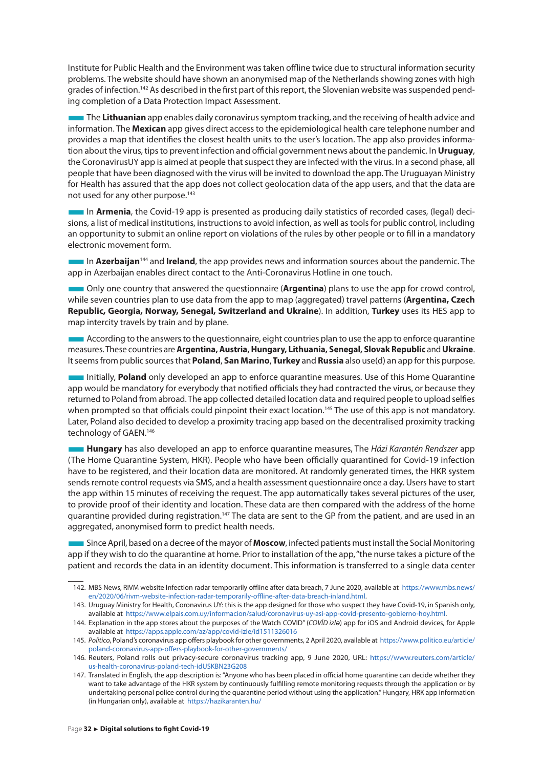Institute for Public Health and the Environment was taken offline twice due to structural information security problems. The website should have shown an anonymised map of the Netherlands showing zones with high grades of infection.<sup>142</sup> As described in the first part of this report, the Slovenian website was suspended pending completion of a Data Protection Impact Assessment.

■The **Lithuanian** app enables daily coronavirus symptom tracking, and the receiving of health advice and information. The **Mexican** app gives direct access to the epidemiological health care telephone number and provides a map that identifies the closest health units to the user's location. The app also provides information about the virus, tips to prevent infection and official government news about the pandemic. In **Uruguay**, the CoronavirusUY app is aimed at people that suspect they are infected with the virus. In a second phase, all people that have been diagnosed with the virus will be invited to download the app. The Uruguayan Ministry for Health has assured that the app does not collect geolocation data of the app users, and that the data are not used for any other purpose.<sup>143</sup>

■In **Armenia**, the Covid-19 app is presented as producing daily statistics of recorded cases, (legal) decisions, a list of medical institutions, instructions to avoid infection, as well as tools for public control, including an opportunity to submit an online report on violations of the rules by other people or to fill in a mandatory electronic movement form.

**In Azerbaijan**<sup>144</sup> and **Ireland**, the app provides news and information sources about the pandemic. The app in Azerbaijan enables direct contact to the Anti-Coronavirus Hotline in one touch.

**The Only one country that answered the questionnaire (Argentina)** plans to use the app for crowd control, while seven countries plan to use data from the app to map (aggregated) travel patterns (**Argentina, Czech Republic, Georgia, Norway, Senegal, Switzerland and Ukraine**). In addition, **Turkey** uses its HES app to map intercity travels by train and by plane.

■ According to the answers to the questionnaire, eight countries plan to use the app to enforce quarantine measures. These countries are **Argentina, Austria, Hungary, Lithuania, Senegal, Slovak Republic** and **Ukraine**. It seems from public sources that **Poland**, **San Marino**, **Turkey** and **Russia** also use(d) an app for this purpose.

■Initially, **Poland** only developed an app to enforce quarantine measures. Use of this Home Quarantine app would be mandatory for everybody that notified officials they had contracted the virus, or because they returned to Poland from abroad. The app collected detailed location data and required people to upload selfies when prompted so that officials could pinpoint their exact location.<sup>145</sup> The use of this app is not mandatory. Later, Poland also decided to develop a proximity tracing app based on the decentralised proximity tracking technology of GAEN.146

■**Hungary** has also developed an app to enforce quarantine measures, The *Házi Karantén Rendszer* app (The Home Quarantine System, HKR). People who have been officially quarantined for Covid-19 infection have to be registered, and their location data are monitored. At randomly generated times, the HKR system sends remote control requests via SMS, and a health assessment questionnaire once a day. Users have to start the app within 15 minutes of receiving the request. The app automatically takes several pictures of the user, to provide proof of their identity and location. These data are then compared with the address of the home quarantine provided during registration.147 The data are sent to the GP from the patient, and are used in an aggregated, anonymised form to predict health needs.

■■ Since April, based on a decree of the mayor of **Moscow**, infected patients must install the Social Monitoring app if they wish to do the quarantine at home. Prior to installation of the app, "the nurse takes a picture of the patient and records the data in an identity document. This information is transferred to a single data center

<sup>142.</sup> MBS News, RIVM website Infection radar temporarily offline after data breach, 7 June 2020, available at [https://www.mbs.news/](https://www.mbs.news/en/2020/06/rivm-website-infection-radar-temporarily-offline-after-data-breach-inland.html) [en/2020/06/rivm-website-infection-radar-temporarily-offline-after-data-breach-inland.html.](https://www.mbs.news/en/2020/06/rivm-website-infection-radar-temporarily-offline-after-data-breach-inland.html)

<sup>143.</sup> Uruguay Ministry for Health, Coronavirus UY: this is the app designed for those who suspect they have Covid-19, in Spanish only, available at [https://www.elpais.com.uy/informacion/salud/coronavirus-uy-asi-app-covid-presento-gobierno-hoy.html.](https://www.elpais.com.uy/informacion/salud/coronavirus-uy-asi-app-covid-presento-gobierno-hoy.html)

<sup>144.</sup> Explanation in the app stores about the purposes of the Watch COVID" (*COVİD izlə*) app for iOS and Android devices, for Apple available at <https://apps.apple.com/az/app/covid-izle/id1511326016>

<sup>145.</sup> *Politico*, Poland's coronavirus app offers playbook for other governments, 2 April 2020, available at [https://www.politico.eu/article/](https://www.politico.eu/article/poland-coronavirus-app-offers-playbook-for-other-governments/) [poland-coronavirus-app-offers-playbook-for-other-governments/](https://www.politico.eu/article/poland-coronavirus-app-offers-playbook-for-other-governments/) 

<sup>146.</sup> Reuters, Poland rolls out privacy-secure coronavirus tracking app, 9 June 2020, URL: [https://www.reuters.com/article/](https://www.reuters.com/article/us-health-coronavirus-poland-tech-idUSKBN23G208) [us-health-coronavirus-poland-tech-idUSKBN23G208](https://www.reuters.com/article/us-health-coronavirus-poland-tech-idUSKBN23G208)

<sup>147.</sup> Translated in English, the app description is: "Anyone who has been placed in official home quarantine can decide whether they want to take advantage of the HKR system by continuously fulfilling remote monitoring requests through the application or by undertaking personal police control during the quarantine period without using the application." Hungary, HRK app information (in Hungarian only), available at <https://hazikaranten.hu/>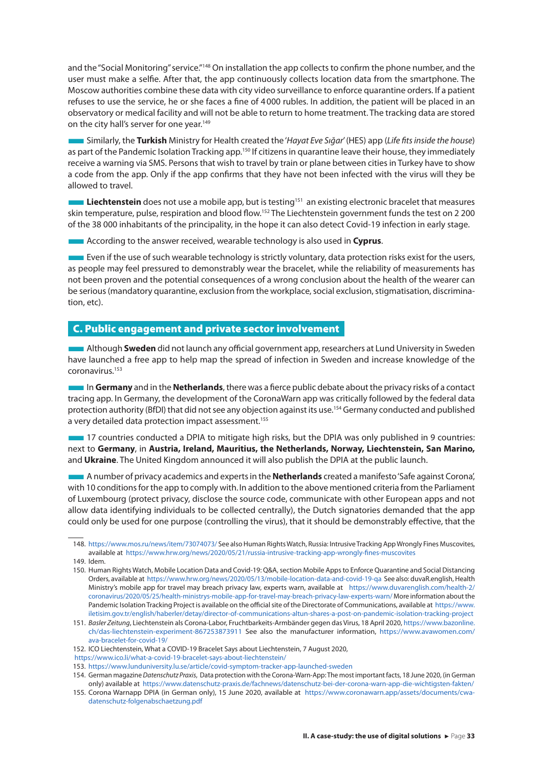<span id="page-33-0"></span>and the "Social Monitoring" service."<sup>148</sup> On installation the app collects to confirm the phone number, and the user must make a selfie. After that, the app continuously collects location data from the smartphone. The Moscow authorities combine these data with city video surveillance to enforce quarantine orders. If a patient refuses to use the service, he or she faces a fine of 4000 rubles. In addition, the patient will be placed in an observatory or medical facility and will not be able to return to home treatment. The tracking data are stored on the city hall's server for one year.<sup>149</sup>

■Similarly, the **Turkish** Ministry for Health created the '*Hayat Eve Sığar*' (HES) app (*Life fits inside the house*) as part of the Pandemic Isolation Tracking app.<sup>150</sup> If citizens in quarantine leave their house, they immediately receive a warning via SMS. Persons that wish to travel by train or plane between cities in Turkey have to show a code from the app. Only if the app confirms that they have not been infected with the virus will they be allowed to travel.

**Liechtenstein** does not use a mobile app, but is testing<sup>151</sup> an existing electronic bracelet that measures skin temperature, pulse, respiration and blood flow.152 The Liechtenstein government funds the test on 2 200 of the 38 000 inhabitants of the principality, in the hope it can also detect Covid-19 infection in early stage.

**EXCOLUTE:** According to the answer received, wearable technology is also used in **Cyprus**.

**Even if the use of such wearable technology is strictly voluntary, data protection risks exist for the users,** as people may feel pressured to demonstrably wear the bracelet, while the reliability of measurements has not been proven and the potential consequences of a wrong conclusion about the health of the wearer can be serious (mandatory quarantine, exclusion from the workplace, social exclusion, stigmatisation, discrimination, etc).

#### C. Public engagement and private sector involvement

■Although **Sweden** did not launch any official government app, researchers at Lund University in Sweden have launched a free app to help map the spread of infection in Sweden and increase knowledge of the coronavirus.153

■In **Germany** and in the **Netherlands**, there was a fierce public debate about the privacy risks of a contact tracing app. In Germany, the development of the CoronaWarn app was critically followed by the federal data protection authority (BfDI) that did not see any objection against its use.154 Germany conducted and published a very detailed data protection impact assessment.<sup>155</sup>

■17 countries conducted a DPIA to mitigate high risks, but the DPIA was only published in 9 countries: next to **Germany**, in **Austria, Ireland, Mauritius, the Netherlands, Norway, Liechtenstein, San Marino,**  and **Ukraine**. The United Kingdom announced it will also publish the DPIA at the public launch.

■A number of privacy academics and experts in the **Netherlands** created a manifesto 'Safe against Corona', with 10 conditions for the app to comply with.In addition to the above mentioned criteria from the Parliament of Luxembourg (protect privacy, disclose the source code, communicate with other European apps and not allow data identifying individuals to be collected centrally), the Dutch signatories demanded that the app could only be used for one purpose (controlling the virus), that it should be demonstrably effective, that the

- 152. ICO Liechtenstein, What a COVID-19 Bracelet Says about Liechtenstein, 7 August 2020,
- <https://www.ico.li/what-a-covid-19-bracelet-says-about-liechtenstein/>
- 153. <https://www.lunduniversity.lu.se/article/covid-symptom-tracker-app-launched-sweden>

<sup>148.</sup> <https://www.mos.ru/news/item/73074073/> See also Human Rights Watch, Russia: Intrusive Tracking App Wrongly Fines Muscovites, available at <https://www.hrw.org/news/2020/05/21/russia-intrusive-tracking-app-wrongly-fines-muscovites>

<sup>149.</sup> Idem.

<sup>150.</sup> Human Rights Watch, Mobile Location Data and Covid-19: Q&A, section Mobile Apps to Enforce Quarantine and Social Distancing Orders, available at <https://www.hrw.org/news/2020/05/13/mobile-location-data-and-covid-19-qa> See also: duvaR.english, Health Ministry's mobile app for travel may breach privacy law, experts warn, available at [https://www.duvarenglish.com/health-2/](https://www.duvarenglish.com/health-2/coronavirus/2020/05/25/health-ministrys-mobile-app-for-travel-may-breach-privacy-law-experts-warn/) [coronavirus/2020/05/25/health-ministrys-mobile-app-for-travel-may-breach-privacy-law-experts-warn/](https://www.duvarenglish.com/health-2/coronavirus/2020/05/25/health-ministrys-mobile-app-for-travel-may-breach-privacy-law-experts-warn/) More information about the Pandemic Isolation Tracking Project is available on the official site of the Directorate of Communications, available at [https://www.](https://www.iletisim.gov.tr/english/haberler/detay/director-of-communications-altun-shares-a-post-on-pandemic-isolation-tracking-project) [iletisim.gov.tr/english/haberler/detay/director-of-communications-altun-shares-a-post-on-pandemic-isolation-tracking-project](https://www.iletisim.gov.tr/english/haberler/detay/director-of-communications-altun-shares-a-post-on-pandemic-isolation-tracking-project)

<sup>151.</sup> *Basler Zeitung*, Liechtenstein als Corona-Labor, Fruchtbarkeits-Armbänder gegen das Virus, 18 April 2020, [https://www.bazonline.](https://www.bazonline.ch/das-liechtenstein-experiment-867253873911) [ch/das-liechtenstein-experiment-867253873911](https://www.bazonline.ch/das-liechtenstein-experiment-867253873911) See also the manufacturer information, [https://www.avawomen.com/](https://www.avawomen.com/ava-bracelet-for-covid-19/) [ava-bracelet-for-covid-19/](https://www.avawomen.com/ava-bracelet-for-covid-19/)

<sup>154.</sup> German magazine *Datenschutz Praxis*, Data protection with the Corona-Warn-App: The most important facts, 18 June 2020, (in German only) available at <https://www.datenschutz-praxis.de/fachnews/datenschutz-bei-der-corona-warn-app-die-wichtigsten-fakten/>

<sup>155.</sup> Corona Warnapp DPIA (in German only), 15 June 2020, available at [https://www.coronawarn.app/assets/documents/cwa](https://www.coronawarn.app/assets/documents/cwa-datenschutz-folgenabschaetzung.pdf)[datenschutz-folgenabschaetzung.pdf](https://www.coronawarn.app/assets/documents/cwa-datenschutz-folgenabschaetzung.pdf)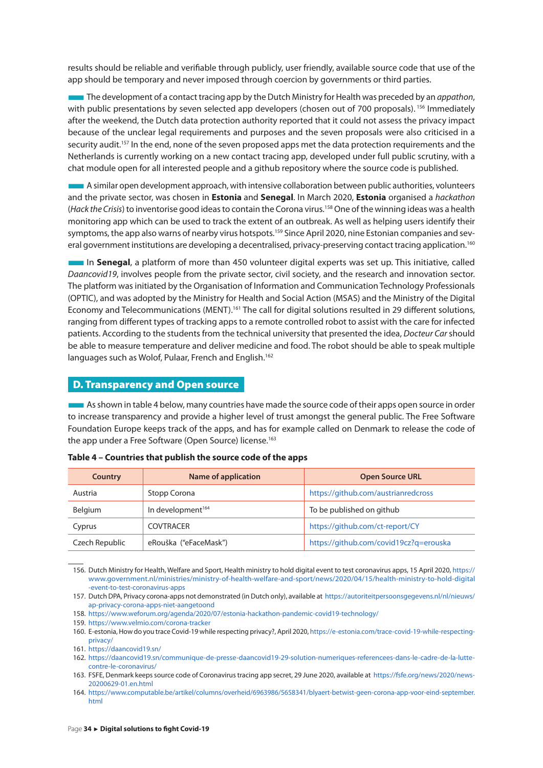<span id="page-34-0"></span>results should be reliable and verifiable through publicly, user friendly, available source code that use of the app should be temporary and never imposed through coercion by governments or third parties.

■The development of a contact tracing app by the Dutch Ministry for Health was preceded by an *appathon*, with public presentations by seven selected app developers (chosen out of 700 proposals).<sup>156</sup> Immediately after the weekend, the Dutch data protection authority reported that it could not assess the privacy impact because of the unclear legal requirements and purposes and the seven proposals were also criticised in a security audit.<sup>157</sup> In the end, none of the seven proposed apps met the data protection requirements and the Netherlands is currently working on a new contact tracing app, developed under full public scrutiny, with a chat module open for all interested people and a github repository where the source code is published.

■A similar open development approach, with intensive collaboration between public authorities, volunteers and the private sector, was chosen in **Estonia** and **Senegal**. In March 2020, **Estonia** organised a *hackathon*  (*Hack the Crisis*) to inventorise good ideas to contain the Corona virus.158 One of the winning ideas was a health monitoring app which can be used to track the extent of an outbreak. As well as helping users identify their symptoms, the app also warns of nearby virus hotspots.<sup>159</sup> Since April 2020, nine Estonian companies and several government institutions are developing a decentralised, privacy-preserving contact tracing application.<sup>160</sup>

**IDER In Senegal**, a platform of more than 450 volunteer digital experts was set up. This initiative, called *Daancovid19*, involves people from the private sector, civil society, and the research and innovation sector. The platform was initiated by the Organisation of Information and Communication Technology Professionals (OPTIC), and was adopted by the Ministry for Health and Social Action (MSAS) and the Ministry of the Digital Economy and Telecommunications (MENT).<sup>161</sup> The call for digital solutions resulted in 29 different solutions, ranging from different types of tracking apps to a remote controlled robot to assist with the care for infected patients. According to the students from the technical university that presented the idea, *Docteur Car* should be able to measure temperature and deliver medicine and food. The robot should be able to speak multiple languages such as Wolof, Pulaar, French and English.<sup>162</sup>

#### D. Transparency and Open source

**As shown in table 4 below, many countries have made the source code of their apps open source in order** to increase transparency and provide a higher level of trust amongst the general public. The Free Software Foundation Europe keeps track of the apps, and has for example called on Denmark to release the code of the app under a Free Software (Open Source) license.<sup>163</sup>

| Country        | Name of application           | <b>Open Source URL</b>                 |
|----------------|-------------------------------|----------------------------------------|
| Austria        | Stopp Corona                  | https://github.com/austrianredcross    |
| Belgium        | In development <sup>164</sup> | To be published on github              |
| Cyprus         | <b>COVTRACER</b>              | https://github.com/ct-report/CY        |
| Czech Republic | eRouška ("eFaceMask")         | https://github.com/covid19cz?q=erouska |

| Table 4 – Countries that publish the source code of the apps |  |  |
|--------------------------------------------------------------|--|--|
|--------------------------------------------------------------|--|--|

156. Dutch Ministry for Health, Welfare and Sport, Health ministry to hold digital event to test coronavirus apps, 15 April 2020, [https://](https://www.government.nl/ministries/ministry-of-health-welfare-and-sport/news/2020/04/15/health-ministry-to-hold-digital-event-to-test-coronavirus-apps) [www.government.nl/ministries/ministry-of-health-welfare-and-sport/news/2020/04/15/health-ministry-to-hold-digital](https://www.government.nl/ministries/ministry-of-health-welfare-and-sport/news/2020/04/15/health-ministry-to-hold-digital-event-to-test-coronavirus-apps) [-event-to-test-coronavirus-apps](https://www.government.nl/ministries/ministry-of-health-welfare-and-sport/news/2020/04/15/health-ministry-to-hold-digital-event-to-test-coronavirus-apps)

157. Dutch DPA, Privacy corona-apps not demonstrated (in Dutch only), available at [https://autoriteitpersoonsgegevens.nl/nl/nieuws/](https://autoriteitpersoonsgegevens.nl/nl/nieuws/ap-privacy-corona-apps-niet-aangetoond) [ap-privacy-corona-apps-niet-aangetoond](https://autoriteitpersoonsgegevens.nl/nl/nieuws/ap-privacy-corona-apps-niet-aangetoond)

- 158. <https://www.weforum.org/agenda/2020/07/estonia-hackathon-pandemic-covid19-technology/>
- 159. <https://www.velmio.com/corona-tracker>

<sup>160.</sup> E-estonia, How do you trace Covid-19 while respecting privacy?, April 2020, [https://e-estonia.com/trace-covid-19-while-respecting](https://e-estonia.com/trace-covid-19-while-respecting-privacy/)[privacy/](https://e-estonia.com/trace-covid-19-while-respecting-privacy/)

<sup>161.</sup> <https://daancovid19.sn/>

<sup>162.</sup> [https://daancovid19.sn/communique-de-presse-daancovid19-29-solution-numeriques-referencees-dans-le-cadre-de-la-lutte](https://daancovid19.sn/communique-de-presse-daancovid19-29-solution-numeriques-referencees-dans-le-cadre-de-la-lutte-contre-le-coronavirus/)[contre-le-coronavirus/](https://daancovid19.sn/communique-de-presse-daancovid19-29-solution-numeriques-referencees-dans-le-cadre-de-la-lutte-contre-le-coronavirus/)

<sup>163.</sup> FSFE, Denmark keeps source code of Coronavirus tracing app secret, 29 June 2020, available at [https://fsfe.org/news/2020/news-](https://fsfe.org/news/2020/news-20200629-01.en.html)[20200629-01.en.html](https://fsfe.org/news/2020/news-20200629-01.en.html)

<sup>164.</sup> [https://www.computable.be/artikel/columns/overheid/6963986/5658341/blyaert-betwist-geen-corona-app-voor-eind-september.](https://www.computable.be/artikel/columns/overheid/6963986/5658341/blyaert-betwist-geen-corona-app-voor-eind-september.html) [html](https://www.computable.be/artikel/columns/overheid/6963986/5658341/blyaert-betwist-geen-corona-app-voor-eind-september.html)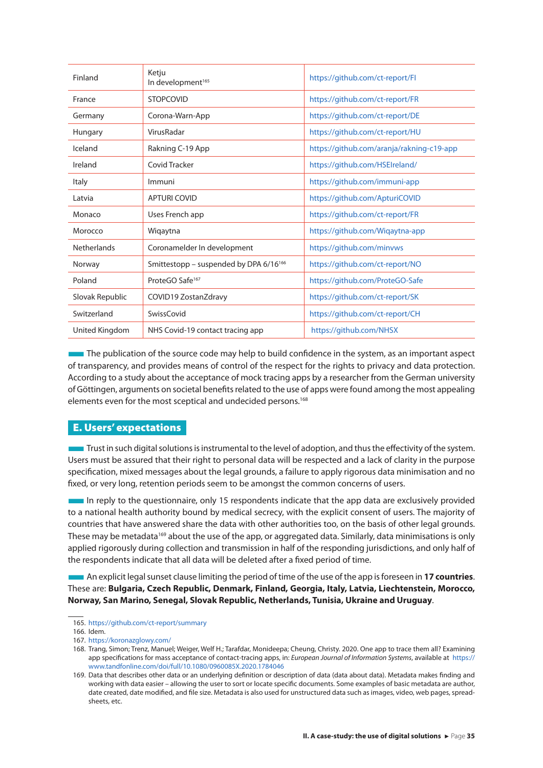<span id="page-35-0"></span>

| Finland            | Ketju<br>In development <sup>165</sup>             | https://github.com/ct-report/Fl           |
|--------------------|----------------------------------------------------|-------------------------------------------|
| France             | <b>STOPCOVID</b>                                   | https://github.com/ct-report/FR           |
| Germany            | Corona-Warn-App                                    | https://github.com/ct-report/DE           |
| Hungary            | VirusRadar                                         | https://github.com/ct-report/HU           |
| Iceland            | Rakning C-19 App                                   | https://github.com/aranja/rakning-c19-app |
| Ireland            | Covid Tracker                                      | https://github.com/HSEIreland/            |
| Italy              | Immuni                                             | https://github.com/immuni-app             |
| Latvia             | <b>APTURI COVID</b>                                | https://github.com/ApturiCOVID            |
| Monaco             | Uses French app                                    | https://github.com/ct-report/FR           |
| Morocco            | Wiqaytna                                           | https://github.com/Wigaytna-app           |
| <b>Netherlands</b> | Coronamelder In development                        | https://github.com/minvws                 |
| Norway             | Smittestopp - suspended by DPA 6/16 <sup>166</sup> | https://github.com/ct-report/NO           |
| Poland             | ProteGO Safe <sup>167</sup>                        | https://github.com/ProteGO-Safe           |
| Slovak Republic    | COVID19 ZostanZdravy                               | https://github.com/ct-report/SK           |
| Switzerland        | <b>SwissCovid</b>                                  | https://github.com/ct-report/CH           |
| United Kingdom     | NHS Covid-19 contact tracing app                   | https://github.com/NHSX                   |

The publication of the source code may help to build confidence in the system, as an important aspect of transparency, and provides means of control of the respect for the rights to privacy and data protection. According to a study about the acceptance of mock tracing apps by a researcher from the German university of Göttingen, arguments on societal benefits related to the use of apps were found among the most appealing elements even for the most sceptical and undecided persons.<sup>168</sup>

#### E. Users' expectations

**Trust in such digital solutions is instrumental to the level of adoption, and thus the effectivity of the system.** Users must be assured that their right to personal data will be respected and a lack of clarity in the purpose specification, mixed messages about the legal grounds, a failure to apply rigorous data minimisation and no fixed, or very long, retention periods seem to be amongst the common concerns of users.

■In reply to the questionnaire, only 15 respondents indicate that the app data are exclusively provided to a national health authority bound by medical secrecy, with the explicit consent of users. The majority of countries that have answered share the data with other authorities too, on the basis of other legal grounds. These may be metadata<sup>169</sup> about the use of the app, or aggregated data. Similarly, data minimisations is only applied rigorously during collection and transmission in half of the responding jurisdictions, and only half of the respondents indicate that all data will be deleted after a fixed period of time.

■An explicit legal sunset clause limiting the period of time of the use of the app is foreseen in **17 countries**. These are: **Bulgaria, Czech Republic, Denmark, Finland, Georgia, Italy, Latvia, Liechtenstein, Morocco, Norway, San Marino, Senegal, Slovak Republic, Netherlands, Tunisia, Ukraine and Uruguay**.

<sup>165.</sup> <https://github.com/ct-report/summary>

<sup>166.</sup> Idem.

<sup>167.</sup> <https://koronazglowy.com/>

<sup>168.</sup> Trang, Simon; Trenz, Manuel; Weiger, Welf H.; Tarafdar, Monideepa; Cheung, Christy. 2020. One app to trace them all? Examining app specifications for mass acceptance of contact-tracing apps, in: *European Journal of Information Systems*, available at https:// www.tandfonline.com/doi/full/10.1080/0960085X.2020.1784046

<sup>169.</sup> Data that describes other data or an underlying definition or description of data (data about data). Metadata makes finding and working with data easier – allowing the user to sort or locate specific documents. Some examples of basic metadata are author, date created, date modified, and file size. Metadata is also used for unstructured data such as images, video, web pages, spreadsheets, etc.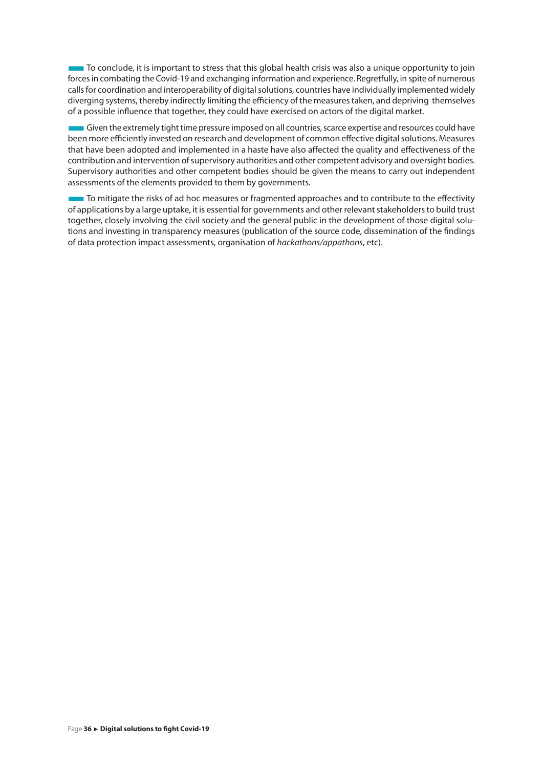To conclude, it is important to stress that this global health crisis was also a unique opportunity to join forces in combating the Covid-19 and exchanging information and experience. Regretfully, in spite of numerous calls for coordination and interoperability of digital solutions, countries have individually implemented widely diverging systems, thereby indirectly limiting the efficiency of the measures taken, and depriving themselves of a possible influence that together, they could have exercised on actors of the digital market.

Given the extremely tight time pressure imposed on all countries, scarce expertise and resources could have been more efficiently invested on research and development of common effective digital solutions. Measures that have been adopted and implemented in a haste have also affected the quality and effectiveness of the contribution and intervention of supervisory authorities and other competent advisory and oversight bodies. Supervisory authorities and other competent bodies should be given the means to carry out independent assessments of the elements provided to them by governments.

To mitigate the risks of ad hoc measures or fragmented approaches and to contribute to the effectivity of applications by a large uptake, it is essential for governments and other relevant stakeholders to build trust together, closely involving the civil society and the general public in the development of those digital solutions and investing in transparency measures (publication of the source code, dissemination of the findings of data protection impact assessments, organisation of *hackathons/appathons*, etc).